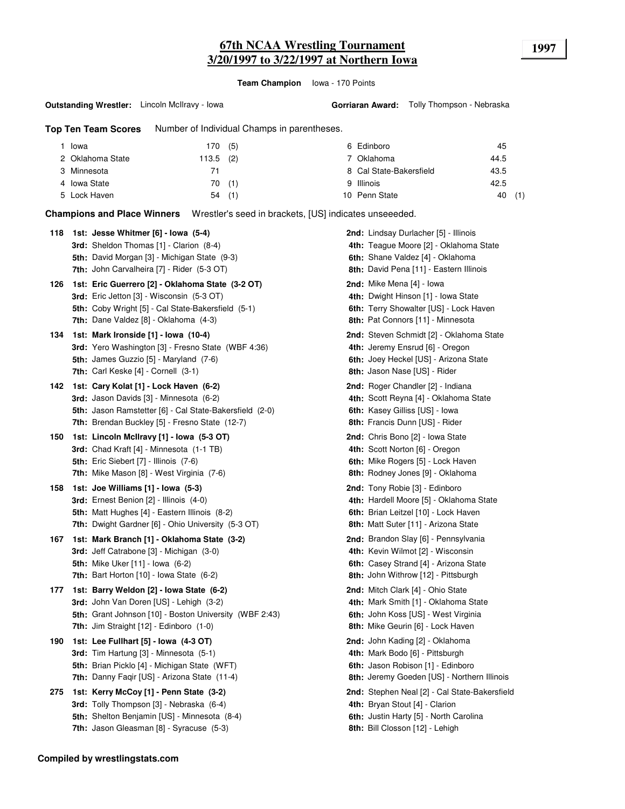# **67th NCAA Wrestling Tournament 1997 3/20/1997 to 3/22/1997 at Northern Iowa**

**Team Champion** Iowa - 170 Points

#### **Outstanding Wrestler:** Lincoln McIlravy - Iowa

**Top Ten Team Scores** Number of Individual Champs in parentheses.

| Iowa             | (5)<br>170   | 6 Edinboro              | 45        |
|------------------|--------------|-------------------------|-----------|
| 2 Oklahoma State | (2)<br>113.5 | 7 Oklahoma              | 44.5      |
| 3 Minnesota      |              | 8 Cal State-Bakersfield | 43.5      |
| 4 Iowa State     | 70(1)        | 9 Illinois              | 42.5      |
| 5 Lock Haven     | (1)<br>54    | 10 Penn State           | (1)<br>40 |

**Champions and Place Winners** Wrestler's seed in brackets, [US] indicates unseeeded.

| 118 | 1st: Jesse Whitmer [6] - Iowa (5-4)<br>3rd: Sheldon Thomas [1] - Clarion (8-4)                                                                                                                        | 2nd: Lindsay Durlacher [5] - Illinois<br>4th: Teague Moore [2] - Oklahoma State                                                                               |
|-----|-------------------------------------------------------------------------------------------------------------------------------------------------------------------------------------------------------|---------------------------------------------------------------------------------------------------------------------------------------------------------------|
|     | 5th: David Morgan [3] - Michigan State (9-3)<br>7th: John Carvalheira [7] - Rider (5-3 OT)                                                                                                            | 6th: Shane Valdez [4] - Oklahoma<br>8th: David Pena [11] - Eastern Illinois                                                                                   |
| 126 | 1st: Eric Guerrero [2] - Oklahoma State (3-2 OT)<br>3rd: Eric Jetton [3] - Wisconsin (5-3 OT)<br>5th: Coby Wright [5] - Cal State-Bakersfield (5-1)<br><b>7th:</b> Dane Valdez [8] - Oklahoma (4-3)   | 2nd: Mike Mena [4] - Iowa<br>4th: Dwight Hinson [1] - Iowa State<br>6th: Terry Showalter [US] - Lock Haven<br><b>8th:</b> Pat Connors [11] - Minnesota        |
| 134 | 1st: Mark Ironside [1] - Iowa (10-4)<br><b>3rd:</b> Yero Washington [3] - Fresno State (WBF 4:36)<br><b>5th:</b> James Guzzio [5] - Maryland (7-6)<br>7th: Carl Keske [4] - Cornell (3-1)             | 2nd: Steven Schmidt [2] - Oklahoma State<br>4th: Jeremy Ensrud [6] - Oregon<br>6th: Joey Heckel [US] - Arizona State<br>8th: Jason Nase [US] - Rider          |
| 142 | 1st: Cary Kolat [1] - Lock Haven (6-2)<br><b>3rd:</b> Jason Davids [3] - Minnesota (6-2)<br>5th: Jason Ramstetter [6] - Cal State-Bakersfield (2-0)<br>7th: Brendan Buckley [5] - Fresno State (12-7) | <b>2nd:</b> Roger Chandler [2] - Indiana<br>4th: Scott Reyna [4] - Oklahoma State<br>6th: Kasey Gilliss [US] - Iowa<br>8th: Francis Dunn [US] - Rider         |
| 150 | 1st: Lincoln McIlravy [1] - Iowa (5-3 OT)<br><b>3rd:</b> Chad Kraft [4] - Minnesota (1-1 TB)<br><b>5th:</b> Eric Siebert [7] - Illinois (7-6)<br>7th: Mike Mason [8] - West Virginia (7-6)            | 2nd: Chris Bono [2] - Iowa State<br>4th: Scott Norton [6] - Oregon<br>6th: Mike Rogers [5] - Lock Haven<br>8th: Rodney Jones [9] - Oklahoma                   |
| 158 | 1st: Joe Williams [1] - Iowa (5-3)<br>3rd: Ernest Benion [2] - Illinois (4-0)<br><b>5th:</b> Matt Hughes [4] - Eastern Illinois (8-2)<br>7th: Dwight Gardner [6] - Ohio University (5-3 OT)           | 2nd: Tony Robie [3] - Edinboro<br>4th: Hardell Moore [5] - Oklahoma State<br>6th: Brian Leitzel [10] - Lock Haven<br>8th: Matt Suter [11] - Arizona State     |
| 167 | 1st: Mark Branch [1] - Oklahoma State (3-2)<br>3rd: Jeff Catrabone [3] - Michigan (3-0)<br><b>5th:</b> Mike Uker [11] - Iowa (6-2)<br><b>7th:</b> Bart Horton $[10]$ - Iowa State $(6-2)$             | 2nd: Brandon Slay [6] - Pennsylvania<br>4th: Kevin Wilmot [2] - Wisconsin<br>6th: Casey Strand [4] - Arizona State<br>8th: John Withrow [12] - Pittsburgh     |
| 177 | 1st: Barry Weldon [2] - Iowa State (6-2)<br>3rd: John Van Doren [US] - Lehigh (3-2)<br>5th: Grant Johnson [10] - Boston University (WBF 2:43)<br>7th: Jim Straight [12] - Edinboro (1-0)              | <b>2nd:</b> Mitch Clark [4] - Ohio State<br>4th: Mark Smith [1] - Oklahoma State<br>6th: John Koss [US] - West Virginia<br>8th: Mike Geurin [6] - Lock Haven  |
| 190 | 1st: Lee Fullhart [5] - Iowa (4-3 OT)<br>3rd: Tim Hartung [3] - Minnesota (5-1)<br>5th: Brian Picklo [4] - Michigan State (WFT)<br>7th: Danny Faqir [US] - Arizona State (11-4)                       | <b>2nd:</b> John Kading [2] - Oklahoma<br>4th: Mark Bodo [6] - Pittsburgh<br>6th: Jason Robison [1] - Edinboro<br>8th: Jeremy Goeden [US] - Northern Illinois |
| 275 | 1st: Kerry McCoy [1] - Penn State (3-2)<br>3rd: Tolly Thompson [3] - Nebraska (6-4)<br>5th: Shelton Benjamin [US] - Minnesota (8-4)<br>7th: Jason Gleasman [8] - Syracuse (5-3)                       | 2nd: Stephen Neal [2] - Cal State-Bakersfield<br>4th: Bryan Stout [4] - Clarion<br>6th: Justin Harty [5] - North Carolina<br>8th: Bill Closson [12] - Lehigh  |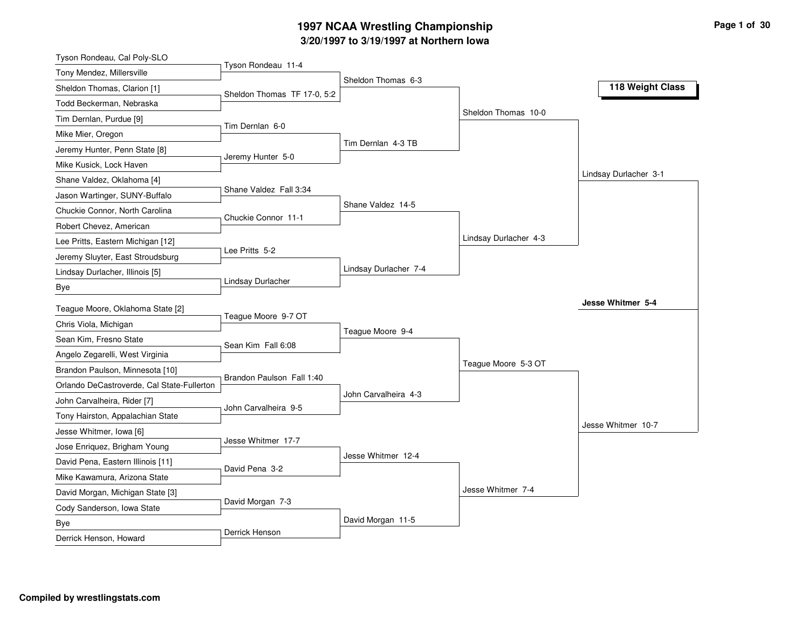### **3/20/1997 to 3/19/1997 at Northern Iowa 1997 NCAA Wrestling Championship Page <sup>1</sup> of <sup>30</sup>**

| Tyson Rondeau, Cal Poly-SLO                |                             |                       |                       |                       |
|--------------------------------------------|-----------------------------|-----------------------|-----------------------|-----------------------|
| Tony Mendez, Millersville                  | Tyson Rondeau 11-4          | Sheldon Thomas 6-3    |                       |                       |
| Sheldon Thomas, Clarion [1]                | Sheldon Thomas TF 17-0, 5:2 |                       |                       | 118 Weight Class      |
| Todd Beckerman, Nebraska                   |                             |                       |                       |                       |
| Tim Dernlan, Purdue [9]                    |                             |                       | Sheldon Thomas 10-0   |                       |
| Mike Mier, Oregon                          | Tim Dernlan 6-0             |                       |                       |                       |
| Jeremy Hunter, Penn State [8]              |                             | Tim Dernlan 4-3 TB    |                       |                       |
| Mike Kusick, Lock Haven                    | Jeremy Hunter 5-0           |                       |                       |                       |
| Shane Valdez, Oklahoma [4]                 |                             |                       |                       | Lindsay Durlacher 3-1 |
| Jason Wartinger, SUNY-Buffalo              | Shane Valdez Fall 3:34      |                       |                       |                       |
| Chuckie Connor, North Carolina             | Chuckie Connor 11-1         | Shane Valdez 14-5     |                       |                       |
| Robert Chevez, American                    |                             |                       |                       |                       |
| Lee Pritts, Eastern Michigan [12]          |                             |                       | Lindsay Durlacher 4-3 |                       |
| Jeremy Sluyter, East Stroudsburg           | Lee Pritts 5-2              |                       |                       |                       |
| Lindsay Durlacher, Illinois [5]            |                             | Lindsay Durlacher 7-4 |                       |                       |
| Bye                                        | Lindsay Durlacher           |                       |                       |                       |
| Teague Moore, Oklahoma State [2]           |                             |                       |                       | Jesse Whitmer 5-4     |
| Chris Viola, Michigan                      | Teague Moore 9-7 OT         |                       |                       |                       |
| Sean Kim, Fresno State                     |                             | Teague Moore 9-4      |                       |                       |
| Angelo Zegarelli, West Virginia            | Sean Kim Fall 6:08          |                       |                       |                       |
| Brandon Paulson, Minnesota [10]            |                             |                       | Teague Moore 5-3 OT   |                       |
| Orlando DeCastroverde, Cal State-Fullerton | Brandon Paulson Fall 1:40   |                       |                       |                       |
| John Carvalheira, Rider [7]                |                             | John Carvalheira 4-3  |                       |                       |
| Tony Hairston, Appalachian State           | John Carvalheira 9-5        |                       |                       |                       |
| Jesse Whitmer, Iowa [6]                    |                             |                       |                       | Jesse Whitmer 10-7    |
| Jose Enriquez, Brigham Young               | Jesse Whitmer 17-7          |                       |                       |                       |
| David Pena, Eastern Illinois [11]          |                             | Jesse Whitmer 12-4    |                       |                       |
| Mike Kawamura, Arizona State               | David Pena 3-2              |                       |                       |                       |
| David Morgan, Michigan State [3]           |                             |                       | Jesse Whitmer 7-4     |                       |
| Cody Sanderson, Iowa State                 | David Morgan 7-3            |                       |                       |                       |
| Bye                                        |                             | David Morgan 11-5     |                       |                       |
| Derrick Henson, Howard                     | Derrick Henson              |                       |                       |                       |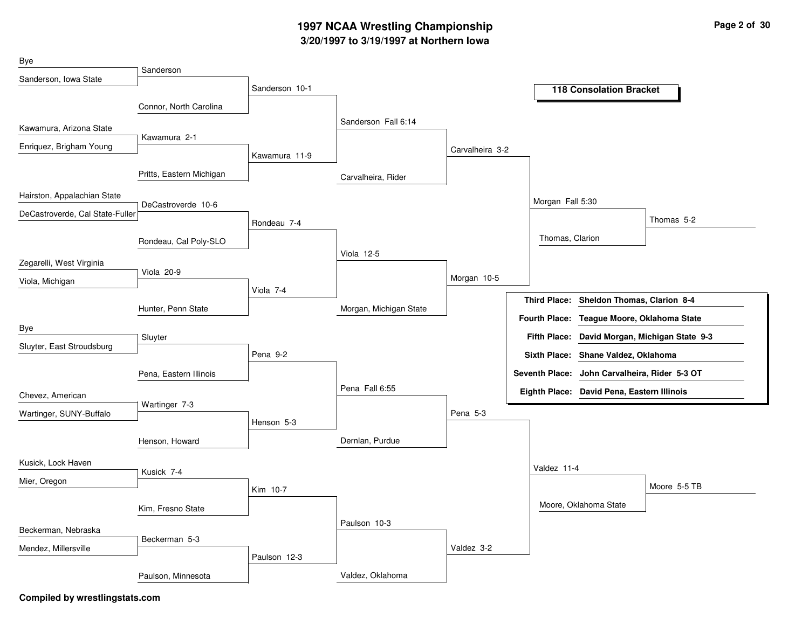## **3/20/1997 to 3/19/1997 at Northern Iowa 1997 NCAA Wrestling Championship Page <sup>2</sup> of <sup>30</sup>**

| Bye                             | Sanderson                |                |                        |                 |                      |                                               |                                               |
|---------------------------------|--------------------------|----------------|------------------------|-----------------|----------------------|-----------------------------------------------|-----------------------------------------------|
| Sanderson, Iowa State           |                          | Sanderson 10-1 |                        |                 |                      |                                               |                                               |
|                                 |                          |                |                        |                 |                      | <b>118 Consolation Bracket</b>                |                                               |
|                                 | Connor, North Carolina   |                | Sanderson Fall 6:14    |                 |                      |                                               |                                               |
| Kawamura, Arizona State         | Kawamura 2-1             |                |                        |                 |                      |                                               |                                               |
| Enriquez, Brigham Young         |                          | Kawamura 11-9  |                        | Carvalheira 3-2 |                      |                                               |                                               |
|                                 | Pritts, Eastern Michigan |                | Carvalheira, Rider     |                 |                      |                                               |                                               |
| Hairston, Appalachian State     |                          |                |                        |                 | Morgan Fall 5:30     |                                               |                                               |
| DeCastroverde, Cal State-Fuller | DeCastroverde 10-6       |                |                        |                 |                      |                                               | Thomas 5-2                                    |
|                                 |                          | Rondeau 7-4    |                        |                 |                      |                                               |                                               |
|                                 | Rondeau, Cal Poly-SLO    |                |                        |                 | Thomas, Clarion      |                                               |                                               |
| Zegarelli, West Virginia        |                          |                | <b>Viola 12-5</b>      |                 |                      |                                               |                                               |
| Viola, Michigan                 | Viola 20-9               |                |                        | Morgan 10-5     |                      |                                               |                                               |
|                                 |                          | Viola 7-4      |                        |                 |                      | Third Place: Sheldon Thomas, Clarion 8-4      |                                               |
|                                 | Hunter, Penn State       |                | Morgan, Michigan State |                 | <b>Fourth Place:</b> | Teague Moore, Oklahoma State                  |                                               |
| Bye                             |                          |                |                        |                 |                      |                                               | Fifth Place: David Morgan, Michigan State 9-3 |
| Sluyter, East Stroudsburg       | Sluyter                  |                |                        |                 |                      |                                               |                                               |
|                                 |                          | Pena 9-2       |                        |                 |                      | Sixth Place: Shane Valdez, Oklahoma           |                                               |
|                                 | Pena, Eastern Illinois   |                |                        |                 |                      | Seventh Place: John Carvalheira, Rider 5-3 OT |                                               |
| Chevez, American                |                          |                | Pena Fall 6:55         |                 |                      | Eighth Place: David Pena, Eastern Illinois    |                                               |
| Wartinger, SUNY-Buffalo         | Wartinger 7-3            | Henson 5-3     |                        | Pena 5-3        |                      |                                               |                                               |
|                                 | Henson, Howard           |                | Dernlan, Purdue        |                 |                      |                                               |                                               |
| Kusick, Lock Haven              |                          |                |                        |                 |                      |                                               |                                               |
| Mier, Oregon                    | Kusick 7-4               |                |                        |                 | Valdez 11-4          |                                               |                                               |
|                                 |                          | Kim 10-7       |                        |                 |                      |                                               | Moore 5-5 TB                                  |
|                                 | Kim, Fresno State        |                |                        |                 |                      | Moore, Oklahoma State                         |                                               |
| Beckerman, Nebraska             |                          |                | Paulson 10-3           |                 |                      |                                               |                                               |
| Mendez, Millersville            | Beckerman 5-3            |                |                        | Valdez 3-2      |                      |                                               |                                               |
|                                 |                          | Paulson 12-3   |                        |                 |                      |                                               |                                               |
|                                 | Paulson, Minnesota       |                | Valdez, Oklahoma       |                 |                      |                                               |                                               |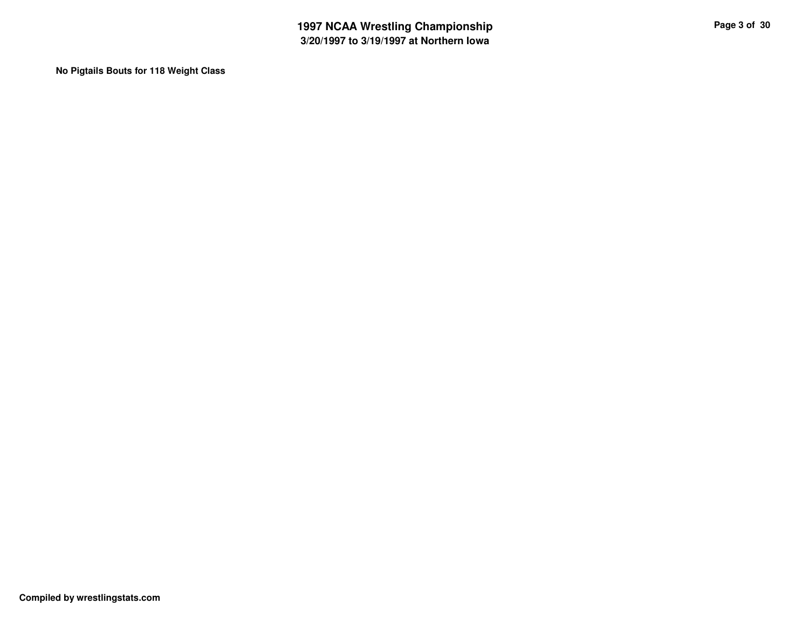**No Pigtails Bouts for 118 Weight Class**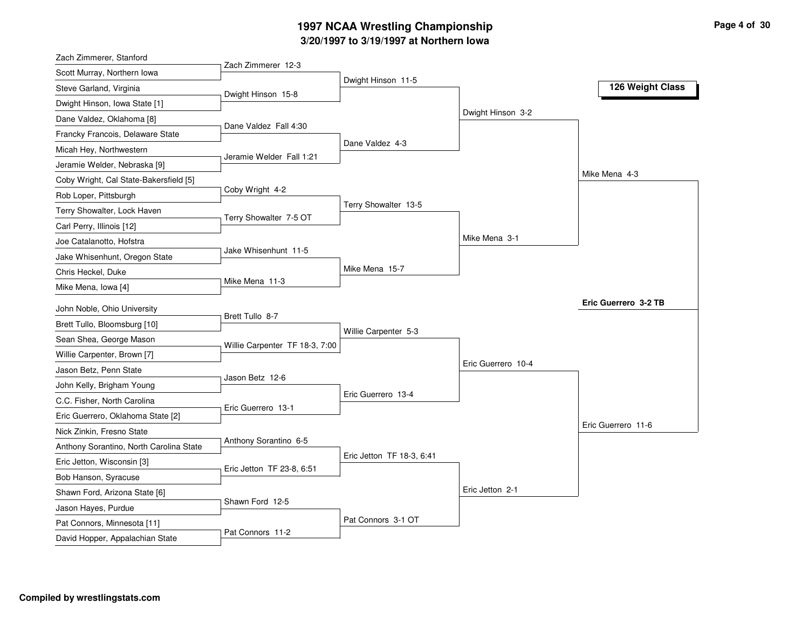## **3/20/1997 to 3/19/1997 at Northern Iowa 1997 NCAA Wrestling Championship Page <sup>4</sup> of <sup>30</sup>**

| Zach Zimmerer, Stanford                                        |                                |                           |                    |                      |
|----------------------------------------------------------------|--------------------------------|---------------------------|--------------------|----------------------|
| Scott Murray, Northern Iowa                                    | Zach Zimmerer 12-3             |                           |                    |                      |
| Steve Garland, Virginia                                        | Dwight Hinson 15-8             | Dwight Hinson 11-5        |                    | 126 Weight Class     |
| Dwight Hinson, Iowa State [1]                                  |                                |                           |                    |                      |
| Dane Valdez, Oklahoma [8]                                      |                                |                           | Dwight Hinson 3-2  |                      |
| Francky Francois, Delaware State                               | Dane Valdez Fall 4:30          |                           |                    |                      |
| Micah Hey, Northwestern                                        |                                | Dane Valdez 4-3           |                    |                      |
| Jeramie Welder, Nebraska [9]                                   | Jeramie Welder Fall 1:21       |                           |                    |                      |
| Coby Wright, Cal State-Bakersfield [5]                         |                                |                           |                    | Mike Mena 4-3        |
| Rob Loper, Pittsburgh                                          | Coby Wright 4-2                |                           |                    |                      |
| Terry Showalter, Lock Haven                                    |                                | Terry Showalter 13-5      |                    |                      |
| Carl Perry, Illinois [12]                                      | Terry Showalter 7-5 OT         |                           |                    |                      |
| Joe Catalanotto, Hofstra                                       |                                |                           | Mike Mena 3-1      |                      |
| Jake Whisenhunt, Oregon State                                  | Jake Whisenhunt 11-5           |                           |                    |                      |
| Chris Heckel, Duke                                             |                                | Mike Mena 15-7            |                    |                      |
| Mike Mena, Iowa [4]                                            | Mike Mena 11-3                 |                           |                    |                      |
| John Noble, Ohio University                                    |                                |                           |                    | Eric Guerrero 3-2 TB |
| Brett Tullo, Bloomsburg [10]                                   | Brett Tullo 8-7                |                           |                    |                      |
|                                                                |                                | Willie Carpenter 5-3      |                    |                      |
| Sean Shea, George Mason                                        | Willie Carpenter TF 18-3, 7:00 |                           |                    |                      |
| Willie Carpenter, Brown [7]                                    |                                |                           | Eric Guerrero 10-4 |                      |
| Jason Betz, Penn State                                         | Jason Betz 12-6                |                           |                    |                      |
| John Kelly, Brigham Young                                      |                                | Eric Guerrero 13-4        |                    |                      |
| C.C. Fisher, North Carolina                                    | Eric Guerrero 13-1             |                           |                    |                      |
| Eric Guerrero, Oklahoma State [2]                              |                                |                           |                    | Eric Guerrero 11-6   |
| Nick Zinkin, Fresno State                                      | Anthony Sorantino 6-5          |                           |                    |                      |
| Anthony Sorantino, North Carolina State                        |                                | Eric Jetton TF 18-3, 6:41 |                    |                      |
| Eric Jetton, Wisconsin [3]                                     | Eric Jetton TF 23-8, 6:51      |                           |                    |                      |
| Bob Hanson, Syracuse                                           |                                |                           | Eric Jetton 2-1    |                      |
| Shawn Ford, Arizona State [6]                                  | Shawn Ford 12-5                |                           |                    |                      |
| Jason Hayes, Purdue                                            |                                |                           |                    |                      |
|                                                                |                                |                           |                    |                      |
| Pat Connors, Minnesota [11]<br>David Hopper, Appalachian State | Pat Connors 11-2               | Pat Connors 3-1 OT        |                    |                      |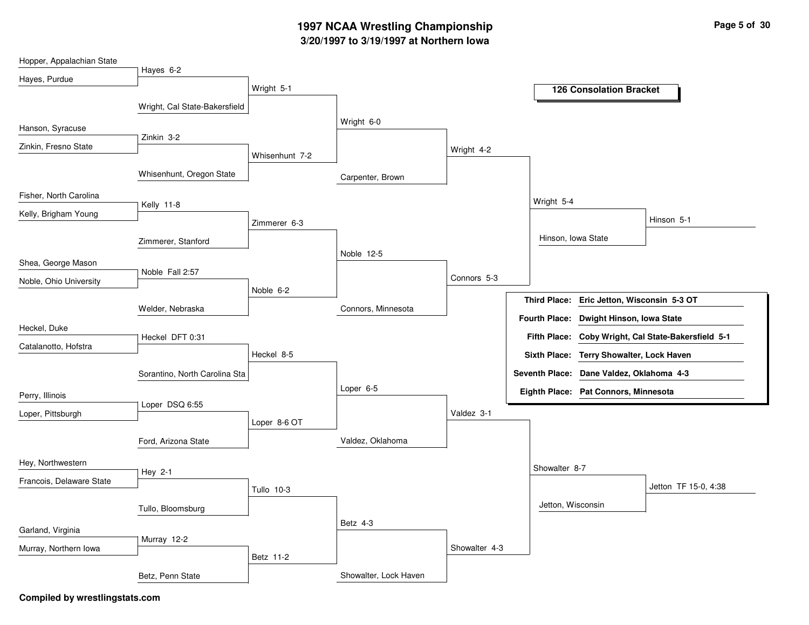## **3/20/1997 to 3/19/1997 at Northern Iowa 1997 NCAA Wrestling Championship Page <sup>5</sup> of <sup>30</sup>**

| Hopper, Appalachian State |                               |                |                       |               |                     |                                          |                                        |
|---------------------------|-------------------------------|----------------|-----------------------|---------------|---------------------|------------------------------------------|----------------------------------------|
| Hayes, Purdue             | Hayes 6-2                     |                |                       |               |                     |                                          |                                        |
|                           |                               | Wright 5-1     |                       |               |                     | <b>126 Consolation Bracket</b>           |                                        |
|                           | Wright, Cal State-Bakersfield |                |                       |               |                     |                                          |                                        |
| Hanson, Syracuse          |                               |                | Wright 6-0            |               |                     |                                          |                                        |
| Zinkin, Fresno State      | Zinkin 3-2                    |                |                       | Wright 4-2    |                     |                                          |                                        |
|                           |                               | Whisenhunt 7-2 |                       |               |                     |                                          |                                        |
|                           | Whisenhunt, Oregon State      |                | Carpenter, Brown      |               |                     |                                          |                                        |
| Fisher, North Carolina    |                               |                |                       |               | Wright 5-4          |                                          |                                        |
| Kelly, Brigham Young      | Kelly 11-8                    |                |                       |               |                     |                                          | Hinson 5-1                             |
|                           |                               | Zimmerer 6-3   |                       |               |                     |                                          |                                        |
|                           | Zimmerer, Stanford            |                | Noble 12-5            |               |                     | Hinson, Iowa State                       |                                        |
| Shea, George Mason        |                               |                |                       |               |                     |                                          |                                        |
| Noble, Ohio University    | Noble Fall 2:57               |                |                       | Connors 5-3   |                     |                                          |                                        |
|                           |                               | Noble 6-2      |                       |               | <b>Third Place:</b> | Eric Jetton, Wisconsin 5-3 OT            |                                        |
|                           | Welder, Nebraska              |                | Connors, Minnesota    |               |                     | Fourth Place: Dwight Hinson, Iowa State  |                                        |
| Heckel, Duke              | Heckel DFT 0:31               |                |                       |               | <b>Fifth Place:</b> |                                          | Coby Wright, Cal State-Bakersfield 5-1 |
| Catalanotto, Hofstra      |                               | Heckel 8-5     |                       |               |                     | Sixth Place: Terry Showalter, Lock Haven |                                        |
|                           |                               |                |                       |               |                     |                                          |                                        |
|                           | Sorantino, North Carolina Sta |                | Loper 6-5             |               |                     | Seventh Place: Dane Valdez, Oklahoma 4-3 |                                        |
| Perry, Illinois           | Loper DSQ 6:55                |                |                       |               |                     | Eighth Place: Pat Connors, Minnesota     |                                        |
| Loper, Pittsburgh         |                               | Loper 8-6 OT   |                       | Valdez 3-1    |                     |                                          |                                        |
|                           |                               |                |                       |               |                     |                                          |                                        |
|                           | Ford, Arizona State           |                | Valdez, Oklahoma      |               |                     |                                          |                                        |
| Hey, Northwestern         | Hey 2-1                       |                |                       |               | Showalter 8-7       |                                          |                                        |
| Francois, Delaware State  |                               | Tullo 10-3     |                       |               |                     |                                          | Jetton TF 15-0, 4:38                   |
|                           |                               |                |                       |               | Jetton, Wisconsin   |                                          |                                        |
|                           | Tullo, Bloomsburg             |                |                       |               |                     |                                          |                                        |
| Garland, Virginia         | Murray 12-2                   |                | Betz 4-3              |               |                     |                                          |                                        |
| Murray, Northern Iowa     |                               |                |                       | Showalter 4-3 |                     |                                          |                                        |
|                           |                               | Betz 11-2      |                       |               |                     |                                          |                                        |
|                           | Betz, Penn State              |                | Showalter, Lock Haven |               |                     |                                          |                                        |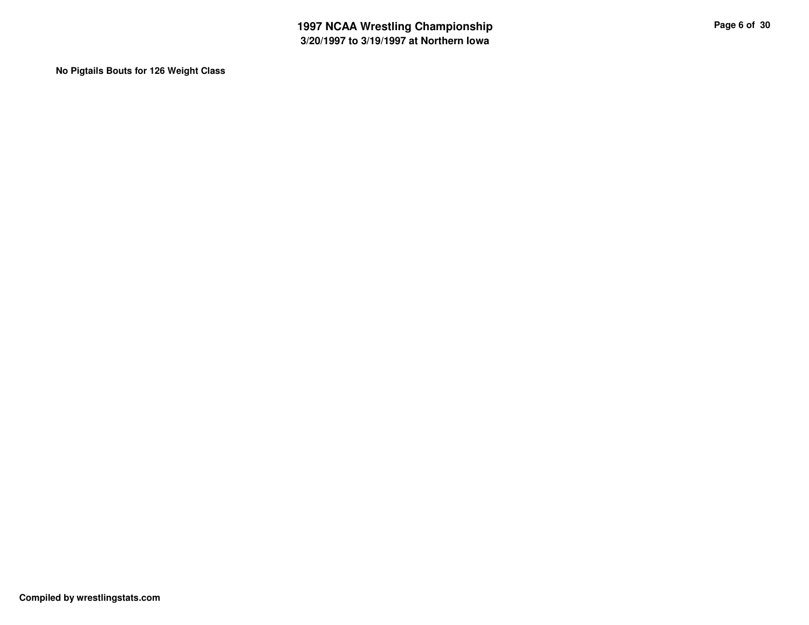**No Pigtails Bouts for 126 Weight Class**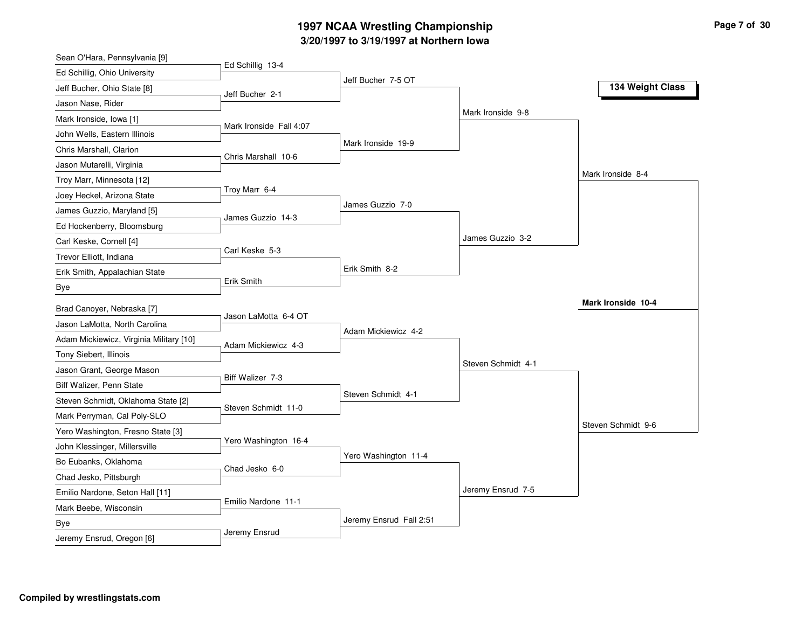### **3/20/1997 to 3/19/1997 at Northern Iowa 1997 NCAA Wrestling Championship Page <sup>7</sup> of <sup>30</sup>**

| Ed Schillig 13-4<br>Ed Schillig, Ohio University<br>Jeff Bucher 7-5 OT<br>134 Weight Class<br>Jeff Bucher, Ohio State [8]<br>Jeff Bucher 2-1<br>Jason Nase, Rider<br>Mark Ironside 9-8<br>Mark Ironside, Iowa [1]<br>Mark Ironside Fall 4:07<br>John Wells, Eastern Illinois<br>Mark Ironside 19-9<br>Chris Marshall, Clarion<br>Chris Marshall 10-6<br>Jason Mutarelli, Virginia<br>Mark Ironside 8-4<br>Troy Marr, Minnesota [12]<br>Troy Marr 6-4<br>Joey Heckel, Arizona State<br>James Guzzio 7-0<br>James Guzzio, Maryland [5]<br>James Guzzio 14-3<br>Ed Hockenberry, Bloomsburg<br>James Guzzio 3-2<br>Carl Keske, Cornell [4]<br>Carl Keske 5-3<br>Trevor Elliott, Indiana<br>Erik Smith 8-2<br>Erik Smith, Appalachian State<br>Erik Smith<br>Bye<br>Mark Ironside 10-4<br>Brad Canoyer, Nebraska [7]<br>Jason LaMotta 6-4 OT<br>Jason LaMotta, North Carolina<br>Adam Mickiewicz 4-2<br>Adam Mickiewicz, Virginia Military [10]<br>Adam Mickiewicz 4-3<br>Tony Siebert, Illinois<br>Steven Schmidt 4-1<br>Jason Grant, George Mason<br>Biff Walizer 7-3<br>Biff Walizer, Penn State<br>Steven Schmidt 4-1<br>Steven Schmidt, Oklahoma State [2]<br>Steven Schmidt 11-0<br>Mark Perryman, Cal Poly-SLO<br>Steven Schmidt 9-6<br>Yero Washington, Fresno State [3]<br>Yero Washington 16-4<br>John Klessinger, Millersville<br>Yero Washington 11-4<br>Bo Eubanks, Oklahoma<br>Chad Jesko 6-0<br>Chad Jesko, Pittsburgh<br>Jeremy Ensrud 7-5<br>Emilio Nardone, Seton Hall [11]<br>Emilio Nardone 11-1<br>Mark Beebe, Wisconsin<br>Jeremy Ensrud Fall 2:51<br>Bye<br>Jeremy Ensrud | Sean O'Hara, Pennsylvania [9] |  |  |
|---------------------------------------------------------------------------------------------------------------------------------------------------------------------------------------------------------------------------------------------------------------------------------------------------------------------------------------------------------------------------------------------------------------------------------------------------------------------------------------------------------------------------------------------------------------------------------------------------------------------------------------------------------------------------------------------------------------------------------------------------------------------------------------------------------------------------------------------------------------------------------------------------------------------------------------------------------------------------------------------------------------------------------------------------------------------------------------------------------------------------------------------------------------------------------------------------------------------------------------------------------------------------------------------------------------------------------------------------------------------------------------------------------------------------------------------------------------------------------------------------------------------------------------------------------------------------------------------|-------------------------------|--|--|
|                                                                                                                                                                                                                                                                                                                                                                                                                                                                                                                                                                                                                                                                                                                                                                                                                                                                                                                                                                                                                                                                                                                                                                                                                                                                                                                                                                                                                                                                                                                                                                                             |                               |  |  |
|                                                                                                                                                                                                                                                                                                                                                                                                                                                                                                                                                                                                                                                                                                                                                                                                                                                                                                                                                                                                                                                                                                                                                                                                                                                                                                                                                                                                                                                                                                                                                                                             |                               |  |  |
|                                                                                                                                                                                                                                                                                                                                                                                                                                                                                                                                                                                                                                                                                                                                                                                                                                                                                                                                                                                                                                                                                                                                                                                                                                                                                                                                                                                                                                                                                                                                                                                             |                               |  |  |
|                                                                                                                                                                                                                                                                                                                                                                                                                                                                                                                                                                                                                                                                                                                                                                                                                                                                                                                                                                                                                                                                                                                                                                                                                                                                                                                                                                                                                                                                                                                                                                                             |                               |  |  |
|                                                                                                                                                                                                                                                                                                                                                                                                                                                                                                                                                                                                                                                                                                                                                                                                                                                                                                                                                                                                                                                                                                                                                                                                                                                                                                                                                                                                                                                                                                                                                                                             |                               |  |  |
|                                                                                                                                                                                                                                                                                                                                                                                                                                                                                                                                                                                                                                                                                                                                                                                                                                                                                                                                                                                                                                                                                                                                                                                                                                                                                                                                                                                                                                                                                                                                                                                             |                               |  |  |
|                                                                                                                                                                                                                                                                                                                                                                                                                                                                                                                                                                                                                                                                                                                                                                                                                                                                                                                                                                                                                                                                                                                                                                                                                                                                                                                                                                                                                                                                                                                                                                                             |                               |  |  |
|                                                                                                                                                                                                                                                                                                                                                                                                                                                                                                                                                                                                                                                                                                                                                                                                                                                                                                                                                                                                                                                                                                                                                                                                                                                                                                                                                                                                                                                                                                                                                                                             |                               |  |  |
|                                                                                                                                                                                                                                                                                                                                                                                                                                                                                                                                                                                                                                                                                                                                                                                                                                                                                                                                                                                                                                                                                                                                                                                                                                                                                                                                                                                                                                                                                                                                                                                             |                               |  |  |
|                                                                                                                                                                                                                                                                                                                                                                                                                                                                                                                                                                                                                                                                                                                                                                                                                                                                                                                                                                                                                                                                                                                                                                                                                                                                                                                                                                                                                                                                                                                                                                                             |                               |  |  |
|                                                                                                                                                                                                                                                                                                                                                                                                                                                                                                                                                                                                                                                                                                                                                                                                                                                                                                                                                                                                                                                                                                                                                                                                                                                                                                                                                                                                                                                                                                                                                                                             |                               |  |  |
|                                                                                                                                                                                                                                                                                                                                                                                                                                                                                                                                                                                                                                                                                                                                                                                                                                                                                                                                                                                                                                                                                                                                                                                                                                                                                                                                                                                                                                                                                                                                                                                             |                               |  |  |
|                                                                                                                                                                                                                                                                                                                                                                                                                                                                                                                                                                                                                                                                                                                                                                                                                                                                                                                                                                                                                                                                                                                                                                                                                                                                                                                                                                                                                                                                                                                                                                                             |                               |  |  |
|                                                                                                                                                                                                                                                                                                                                                                                                                                                                                                                                                                                                                                                                                                                                                                                                                                                                                                                                                                                                                                                                                                                                                                                                                                                                                                                                                                                                                                                                                                                                                                                             |                               |  |  |
|                                                                                                                                                                                                                                                                                                                                                                                                                                                                                                                                                                                                                                                                                                                                                                                                                                                                                                                                                                                                                                                                                                                                                                                                                                                                                                                                                                                                                                                                                                                                                                                             |                               |  |  |
|                                                                                                                                                                                                                                                                                                                                                                                                                                                                                                                                                                                                                                                                                                                                                                                                                                                                                                                                                                                                                                                                                                                                                                                                                                                                                                                                                                                                                                                                                                                                                                                             |                               |  |  |
|                                                                                                                                                                                                                                                                                                                                                                                                                                                                                                                                                                                                                                                                                                                                                                                                                                                                                                                                                                                                                                                                                                                                                                                                                                                                                                                                                                                                                                                                                                                                                                                             |                               |  |  |
|                                                                                                                                                                                                                                                                                                                                                                                                                                                                                                                                                                                                                                                                                                                                                                                                                                                                                                                                                                                                                                                                                                                                                                                                                                                                                                                                                                                                                                                                                                                                                                                             |                               |  |  |
|                                                                                                                                                                                                                                                                                                                                                                                                                                                                                                                                                                                                                                                                                                                                                                                                                                                                                                                                                                                                                                                                                                                                                                                                                                                                                                                                                                                                                                                                                                                                                                                             |                               |  |  |
|                                                                                                                                                                                                                                                                                                                                                                                                                                                                                                                                                                                                                                                                                                                                                                                                                                                                                                                                                                                                                                                                                                                                                                                                                                                                                                                                                                                                                                                                                                                                                                                             |                               |  |  |
|                                                                                                                                                                                                                                                                                                                                                                                                                                                                                                                                                                                                                                                                                                                                                                                                                                                                                                                                                                                                                                                                                                                                                                                                                                                                                                                                                                                                                                                                                                                                                                                             |                               |  |  |
|                                                                                                                                                                                                                                                                                                                                                                                                                                                                                                                                                                                                                                                                                                                                                                                                                                                                                                                                                                                                                                                                                                                                                                                                                                                                                                                                                                                                                                                                                                                                                                                             |                               |  |  |
|                                                                                                                                                                                                                                                                                                                                                                                                                                                                                                                                                                                                                                                                                                                                                                                                                                                                                                                                                                                                                                                                                                                                                                                                                                                                                                                                                                                                                                                                                                                                                                                             |                               |  |  |
|                                                                                                                                                                                                                                                                                                                                                                                                                                                                                                                                                                                                                                                                                                                                                                                                                                                                                                                                                                                                                                                                                                                                                                                                                                                                                                                                                                                                                                                                                                                                                                                             |                               |  |  |
|                                                                                                                                                                                                                                                                                                                                                                                                                                                                                                                                                                                                                                                                                                                                                                                                                                                                                                                                                                                                                                                                                                                                                                                                                                                                                                                                                                                                                                                                                                                                                                                             |                               |  |  |
|                                                                                                                                                                                                                                                                                                                                                                                                                                                                                                                                                                                                                                                                                                                                                                                                                                                                                                                                                                                                                                                                                                                                                                                                                                                                                                                                                                                                                                                                                                                                                                                             |                               |  |  |
|                                                                                                                                                                                                                                                                                                                                                                                                                                                                                                                                                                                                                                                                                                                                                                                                                                                                                                                                                                                                                                                                                                                                                                                                                                                                                                                                                                                                                                                                                                                                                                                             |                               |  |  |
|                                                                                                                                                                                                                                                                                                                                                                                                                                                                                                                                                                                                                                                                                                                                                                                                                                                                                                                                                                                                                                                                                                                                                                                                                                                                                                                                                                                                                                                                                                                                                                                             |                               |  |  |
|                                                                                                                                                                                                                                                                                                                                                                                                                                                                                                                                                                                                                                                                                                                                                                                                                                                                                                                                                                                                                                                                                                                                                                                                                                                                                                                                                                                                                                                                                                                                                                                             |                               |  |  |
|                                                                                                                                                                                                                                                                                                                                                                                                                                                                                                                                                                                                                                                                                                                                                                                                                                                                                                                                                                                                                                                                                                                                                                                                                                                                                                                                                                                                                                                                                                                                                                                             |                               |  |  |
|                                                                                                                                                                                                                                                                                                                                                                                                                                                                                                                                                                                                                                                                                                                                                                                                                                                                                                                                                                                                                                                                                                                                                                                                                                                                                                                                                                                                                                                                                                                                                                                             | Jeremy Ensrud, Oregon [6]     |  |  |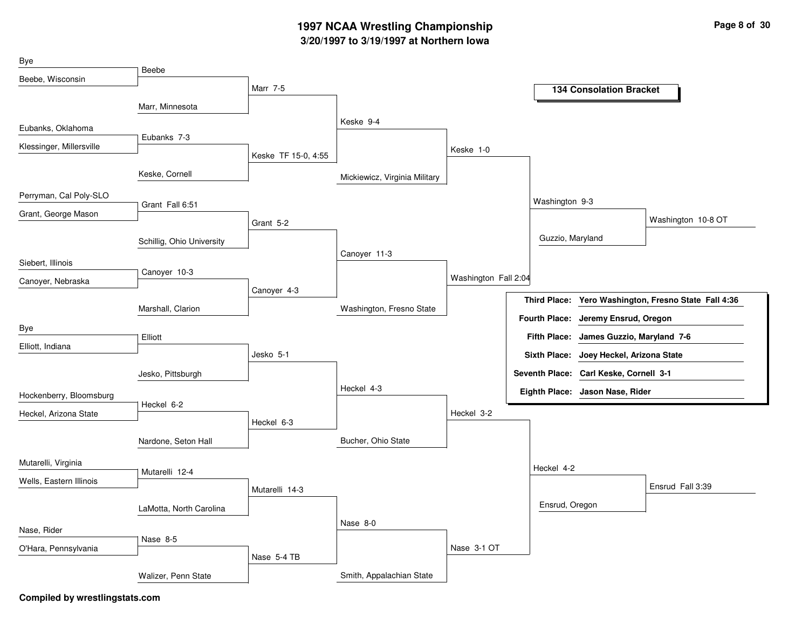## **3/20/1997 to 3/19/1997 at Northern Iowa 1997 NCAA Wrestling Championship Page <sup>8</sup> of <sup>30</sup>**

| Bye                      | Beebe                     |                     |                               |                      |                      |                                         |                                         |
|--------------------------|---------------------------|---------------------|-------------------------------|----------------------|----------------------|-----------------------------------------|-----------------------------------------|
| Beebe, Wisconsin         |                           |                     |                               |                      |                      |                                         |                                         |
|                          |                           | Marr 7-5            |                               |                      |                      | <b>134 Consolation Bracket</b>          |                                         |
|                          | Marr, Minnesota           |                     |                               |                      |                      |                                         |                                         |
| Eubanks, Oklahoma        |                           |                     | Keske 9-4                     |                      |                      |                                         |                                         |
| Klessinger, Millersville | Eubanks 7-3               |                     |                               | Keske 1-0            |                      |                                         |                                         |
|                          |                           | Keske TF 15-0, 4:55 |                               |                      |                      |                                         |                                         |
|                          | Keske, Cornell            |                     | Mickiewicz, Virginia Military |                      |                      |                                         |                                         |
| Perryman, Cal Poly-SLO   |                           |                     |                               |                      | Washington 9-3       |                                         |                                         |
| Grant, George Mason      | Grant Fall 6:51           |                     |                               |                      |                      |                                         |                                         |
|                          |                           | Grant 5-2           |                               |                      |                      |                                         | Washington 10-8 OT                      |
|                          | Schillig, Ohio University |                     |                               |                      | Guzzio, Maryland     |                                         |                                         |
| Siebert, Illinois        |                           |                     | Canoyer 11-3                  |                      |                      |                                         |                                         |
| Canoyer, Nebraska        | Canoyer 10-3              |                     |                               | Washington Fall 2:04 |                      |                                         |                                         |
|                          |                           | Canoyer 4-3         |                               |                      |                      |                                         |                                         |
|                          | Marshall, Clarion         |                     | Washington, Fresno State      |                      | <b>Third Place:</b>  |                                         | Yero Washington, Fresno State Fall 4:36 |
| Bye                      |                           |                     |                               |                      | <b>Fourth Place:</b> | Jeremy Ensrud, Oregon                   |                                         |
| Elliott, Indiana         | Elliott                   |                     |                               |                      |                      | Fifth Place: James Guzzio, Maryland 7-6 |                                         |
|                          |                           | Jesko 5-1           |                               |                      | <b>Sixth Place:</b>  | Joey Heckel, Arizona State              |                                         |
|                          | Jesko, Pittsburgh         |                     |                               |                      |                      | Seventh Place: Carl Keske, Cornell 3-1  |                                         |
| Hockenberry, Bloomsburg  |                           |                     | Heckel 4-3                    |                      |                      | Eighth Place: Jason Nase, Rider         |                                         |
| Heckel, Arizona State    | Heckel 6-2                |                     |                               | Heckel 3-2           |                      |                                         |                                         |
|                          |                           | Heckel 6-3          |                               |                      |                      |                                         |                                         |
|                          | Nardone, Seton Hall       |                     | Bucher, Ohio State            |                      |                      |                                         |                                         |
| Mutarelli, Virginia      |                           |                     |                               |                      |                      |                                         |                                         |
|                          | Mutarelli 12-4            |                     |                               |                      | Heckel 4-2           |                                         |                                         |
| Wells, Eastern Illinois  |                           | Mutarelli 14-3      |                               |                      |                      |                                         | Ensrud Fall 3:39                        |
|                          | LaMotta, North Carolina   |                     |                               |                      | Ensrud, Oregon       |                                         |                                         |
|                          |                           |                     | Nase 8-0                      |                      |                      |                                         |                                         |
| Nase, Rider              | Nase 8-5                  |                     |                               |                      |                      |                                         |                                         |
| O'Hara, Pennsylvania     |                           | Nase 5-4 TB         |                               | Nase 3-1 OT          |                      |                                         |                                         |
|                          |                           |                     | Smith, Appalachian State      |                      |                      |                                         |                                         |
|                          | Walizer, Penn State       |                     |                               |                      |                      |                                         |                                         |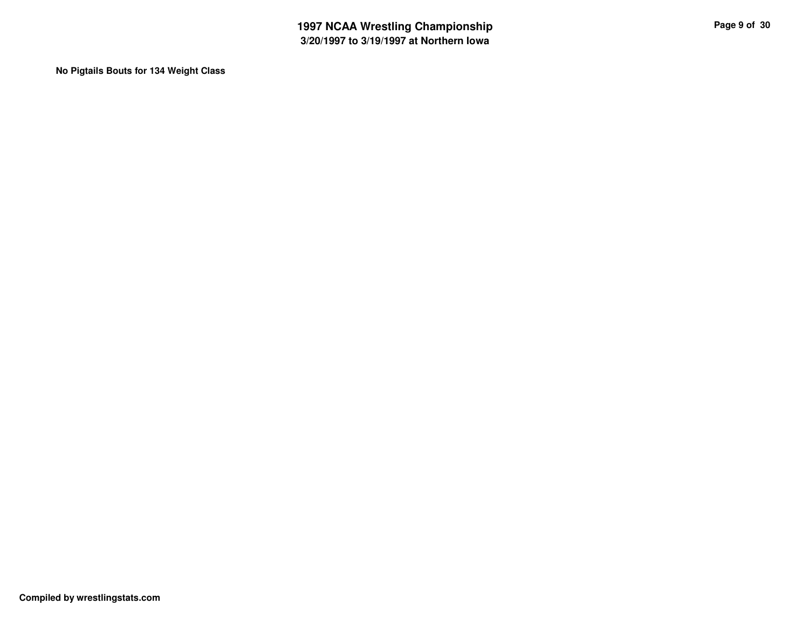**No Pigtails Bouts for 134 Weight Class**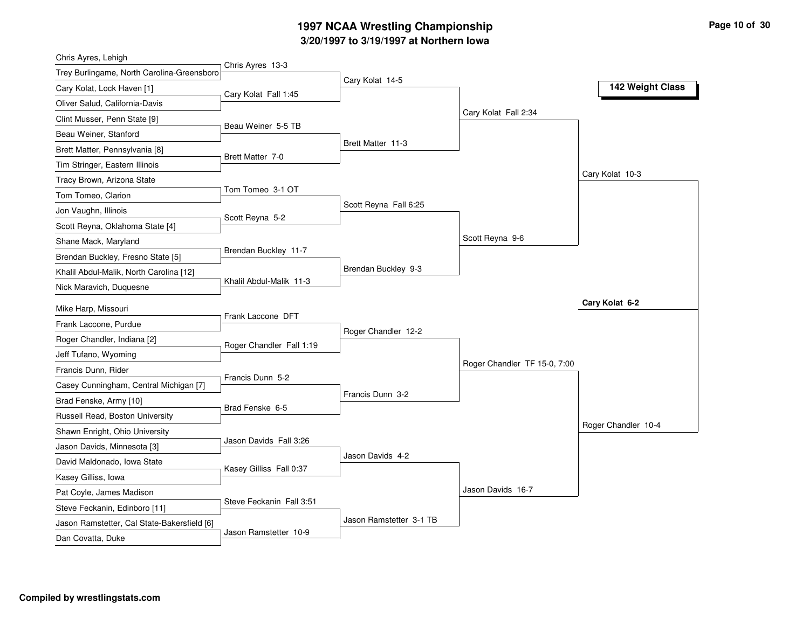## **3/20/1997 to 3/19/1997 at Northern Iowa 1997 NCAA Wrestling Championship Page <sup>10</sup> of <sup>30</sup>**

| Chris Ayres 13-3<br>Trey Burlingame, North Carolina-Greensboro<br>Cary Kolat 14-5<br>142 Weight Class<br>Cary Kolat, Lock Haven [1]<br>Cary Kolat Fall 1:45<br>Oliver Salud, California-Davis<br>Cary Kolat Fall 2:34<br>Clint Musser, Penn State [9]<br>Beau Weiner 5-5 TB<br>Beau Weiner, Stanford<br>Brett Matter 11-3<br>Brett Matter, Pennsylvania [8]<br>Brett Matter 7-0<br>Tim Stringer, Eastern Illinois<br>Cary Kolat 10-3<br>Tracy Brown, Arizona State<br>Tom Tomeo 3-1 OT<br>Tom Tomeo, Clarion<br>Scott Reyna Fall 6:25<br>Jon Vaughn, Illinois<br>Scott Reyna 5-2<br>Scott Reyna, Oklahoma State [4]<br>Scott Reyna 9-6<br>Shane Mack, Maryland<br>Brendan Buckley 11-7<br>Brendan Buckley, Fresno State [5]<br>Brendan Buckley 9-3<br>Khalil Abdul-Malik, North Carolina [12]<br>Khalil Abdul-Malik 11-3<br>Nick Maravich, Duquesne<br>Cary Kolat 6-2<br>Mike Harp, Missouri<br>Frank Laccone DFT<br>Frank Laccone, Purdue<br>Roger Chandler 12-2<br>Roger Chandler, Indiana [2]<br>Roger Chandler Fall 1:19<br>Jeff Tufano, Wyoming<br>Roger Chandler TF 15-0, 7:00<br>Francis Dunn, Rider<br>Francis Dunn 5-2<br>Casey Cunningham, Central Michigan [7]<br>Francis Dunn 3-2<br>Brad Fenske, Army [10]<br>Brad Fenske 6-5<br>Russell Read, Boston University<br>Roger Chandler 10-4<br>Shawn Enright, Ohio University<br>Jason Davids Fall 3:26<br>Jason Davids, Minnesota [3]<br>Jason Davids 4-2<br>David Maldonado, Iowa State<br>Kasey Gilliss Fall 0:37<br>Kasey Gilliss, Iowa<br>Jason Davids 16-7<br>Pat Coyle, James Madison<br>Steve Feckanin Fall 3:51<br>Steve Feckanin, Edinboro [11]<br>Jason Ramstetter 3-1 TB<br>Jason Ramstetter, Cal State-Bakersfield [6]<br>Jason Ramstetter 10-9 | Chris Ayres, Lehigh |  |  |
|-----------------------------------------------------------------------------------------------------------------------------------------------------------------------------------------------------------------------------------------------------------------------------------------------------------------------------------------------------------------------------------------------------------------------------------------------------------------------------------------------------------------------------------------------------------------------------------------------------------------------------------------------------------------------------------------------------------------------------------------------------------------------------------------------------------------------------------------------------------------------------------------------------------------------------------------------------------------------------------------------------------------------------------------------------------------------------------------------------------------------------------------------------------------------------------------------------------------------------------------------------------------------------------------------------------------------------------------------------------------------------------------------------------------------------------------------------------------------------------------------------------------------------------------------------------------------------------------------------------------------------------------------------------------------------------------------------------------------|---------------------|--|--|
|                                                                                                                                                                                                                                                                                                                                                                                                                                                                                                                                                                                                                                                                                                                                                                                                                                                                                                                                                                                                                                                                                                                                                                                                                                                                                                                                                                                                                                                                                                                                                                                                                                                                                                                       |                     |  |  |
|                                                                                                                                                                                                                                                                                                                                                                                                                                                                                                                                                                                                                                                                                                                                                                                                                                                                                                                                                                                                                                                                                                                                                                                                                                                                                                                                                                                                                                                                                                                                                                                                                                                                                                                       |                     |  |  |
|                                                                                                                                                                                                                                                                                                                                                                                                                                                                                                                                                                                                                                                                                                                                                                                                                                                                                                                                                                                                                                                                                                                                                                                                                                                                                                                                                                                                                                                                                                                                                                                                                                                                                                                       |                     |  |  |
|                                                                                                                                                                                                                                                                                                                                                                                                                                                                                                                                                                                                                                                                                                                                                                                                                                                                                                                                                                                                                                                                                                                                                                                                                                                                                                                                                                                                                                                                                                                                                                                                                                                                                                                       |                     |  |  |
|                                                                                                                                                                                                                                                                                                                                                                                                                                                                                                                                                                                                                                                                                                                                                                                                                                                                                                                                                                                                                                                                                                                                                                                                                                                                                                                                                                                                                                                                                                                                                                                                                                                                                                                       |                     |  |  |
|                                                                                                                                                                                                                                                                                                                                                                                                                                                                                                                                                                                                                                                                                                                                                                                                                                                                                                                                                                                                                                                                                                                                                                                                                                                                                                                                                                                                                                                                                                                                                                                                                                                                                                                       |                     |  |  |
|                                                                                                                                                                                                                                                                                                                                                                                                                                                                                                                                                                                                                                                                                                                                                                                                                                                                                                                                                                                                                                                                                                                                                                                                                                                                                                                                                                                                                                                                                                                                                                                                                                                                                                                       |                     |  |  |
|                                                                                                                                                                                                                                                                                                                                                                                                                                                                                                                                                                                                                                                                                                                                                                                                                                                                                                                                                                                                                                                                                                                                                                                                                                                                                                                                                                                                                                                                                                                                                                                                                                                                                                                       |                     |  |  |
|                                                                                                                                                                                                                                                                                                                                                                                                                                                                                                                                                                                                                                                                                                                                                                                                                                                                                                                                                                                                                                                                                                                                                                                                                                                                                                                                                                                                                                                                                                                                                                                                                                                                                                                       |                     |  |  |
|                                                                                                                                                                                                                                                                                                                                                                                                                                                                                                                                                                                                                                                                                                                                                                                                                                                                                                                                                                                                                                                                                                                                                                                                                                                                                                                                                                                                                                                                                                                                                                                                                                                                                                                       |                     |  |  |
|                                                                                                                                                                                                                                                                                                                                                                                                                                                                                                                                                                                                                                                                                                                                                                                                                                                                                                                                                                                                                                                                                                                                                                                                                                                                                                                                                                                                                                                                                                                                                                                                                                                                                                                       |                     |  |  |
|                                                                                                                                                                                                                                                                                                                                                                                                                                                                                                                                                                                                                                                                                                                                                                                                                                                                                                                                                                                                                                                                                                                                                                                                                                                                                                                                                                                                                                                                                                                                                                                                                                                                                                                       |                     |  |  |
|                                                                                                                                                                                                                                                                                                                                                                                                                                                                                                                                                                                                                                                                                                                                                                                                                                                                                                                                                                                                                                                                                                                                                                                                                                                                                                                                                                                                                                                                                                                                                                                                                                                                                                                       |                     |  |  |
|                                                                                                                                                                                                                                                                                                                                                                                                                                                                                                                                                                                                                                                                                                                                                                                                                                                                                                                                                                                                                                                                                                                                                                                                                                                                                                                                                                                                                                                                                                                                                                                                                                                                                                                       |                     |  |  |
|                                                                                                                                                                                                                                                                                                                                                                                                                                                                                                                                                                                                                                                                                                                                                                                                                                                                                                                                                                                                                                                                                                                                                                                                                                                                                                                                                                                                                                                                                                                                                                                                                                                                                                                       |                     |  |  |
|                                                                                                                                                                                                                                                                                                                                                                                                                                                                                                                                                                                                                                                                                                                                                                                                                                                                                                                                                                                                                                                                                                                                                                                                                                                                                                                                                                                                                                                                                                                                                                                                                                                                                                                       |                     |  |  |
|                                                                                                                                                                                                                                                                                                                                                                                                                                                                                                                                                                                                                                                                                                                                                                                                                                                                                                                                                                                                                                                                                                                                                                                                                                                                                                                                                                                                                                                                                                                                                                                                                                                                                                                       |                     |  |  |
|                                                                                                                                                                                                                                                                                                                                                                                                                                                                                                                                                                                                                                                                                                                                                                                                                                                                                                                                                                                                                                                                                                                                                                                                                                                                                                                                                                                                                                                                                                                                                                                                                                                                                                                       |                     |  |  |
|                                                                                                                                                                                                                                                                                                                                                                                                                                                                                                                                                                                                                                                                                                                                                                                                                                                                                                                                                                                                                                                                                                                                                                                                                                                                                                                                                                                                                                                                                                                                                                                                                                                                                                                       |                     |  |  |
|                                                                                                                                                                                                                                                                                                                                                                                                                                                                                                                                                                                                                                                                                                                                                                                                                                                                                                                                                                                                                                                                                                                                                                                                                                                                                                                                                                                                                                                                                                                                                                                                                                                                                                                       |                     |  |  |
|                                                                                                                                                                                                                                                                                                                                                                                                                                                                                                                                                                                                                                                                                                                                                                                                                                                                                                                                                                                                                                                                                                                                                                                                                                                                                                                                                                                                                                                                                                                                                                                                                                                                                                                       |                     |  |  |
|                                                                                                                                                                                                                                                                                                                                                                                                                                                                                                                                                                                                                                                                                                                                                                                                                                                                                                                                                                                                                                                                                                                                                                                                                                                                                                                                                                                                                                                                                                                                                                                                                                                                                                                       |                     |  |  |
|                                                                                                                                                                                                                                                                                                                                                                                                                                                                                                                                                                                                                                                                                                                                                                                                                                                                                                                                                                                                                                                                                                                                                                                                                                                                                                                                                                                                                                                                                                                                                                                                                                                                                                                       |                     |  |  |
|                                                                                                                                                                                                                                                                                                                                                                                                                                                                                                                                                                                                                                                                                                                                                                                                                                                                                                                                                                                                                                                                                                                                                                                                                                                                                                                                                                                                                                                                                                                                                                                                                                                                                                                       |                     |  |  |
|                                                                                                                                                                                                                                                                                                                                                                                                                                                                                                                                                                                                                                                                                                                                                                                                                                                                                                                                                                                                                                                                                                                                                                                                                                                                                                                                                                                                                                                                                                                                                                                                                                                                                                                       |                     |  |  |
|                                                                                                                                                                                                                                                                                                                                                                                                                                                                                                                                                                                                                                                                                                                                                                                                                                                                                                                                                                                                                                                                                                                                                                                                                                                                                                                                                                                                                                                                                                                                                                                                                                                                                                                       |                     |  |  |
|                                                                                                                                                                                                                                                                                                                                                                                                                                                                                                                                                                                                                                                                                                                                                                                                                                                                                                                                                                                                                                                                                                                                                                                                                                                                                                                                                                                                                                                                                                                                                                                                                                                                                                                       |                     |  |  |
|                                                                                                                                                                                                                                                                                                                                                                                                                                                                                                                                                                                                                                                                                                                                                                                                                                                                                                                                                                                                                                                                                                                                                                                                                                                                                                                                                                                                                                                                                                                                                                                                                                                                                                                       |                     |  |  |
|                                                                                                                                                                                                                                                                                                                                                                                                                                                                                                                                                                                                                                                                                                                                                                                                                                                                                                                                                                                                                                                                                                                                                                                                                                                                                                                                                                                                                                                                                                                                                                                                                                                                                                                       |                     |  |  |
|                                                                                                                                                                                                                                                                                                                                                                                                                                                                                                                                                                                                                                                                                                                                                                                                                                                                                                                                                                                                                                                                                                                                                                                                                                                                                                                                                                                                                                                                                                                                                                                                                                                                                                                       |                     |  |  |
|                                                                                                                                                                                                                                                                                                                                                                                                                                                                                                                                                                                                                                                                                                                                                                                                                                                                                                                                                                                                                                                                                                                                                                                                                                                                                                                                                                                                                                                                                                                                                                                                                                                                                                                       | Dan Covatta, Duke   |  |  |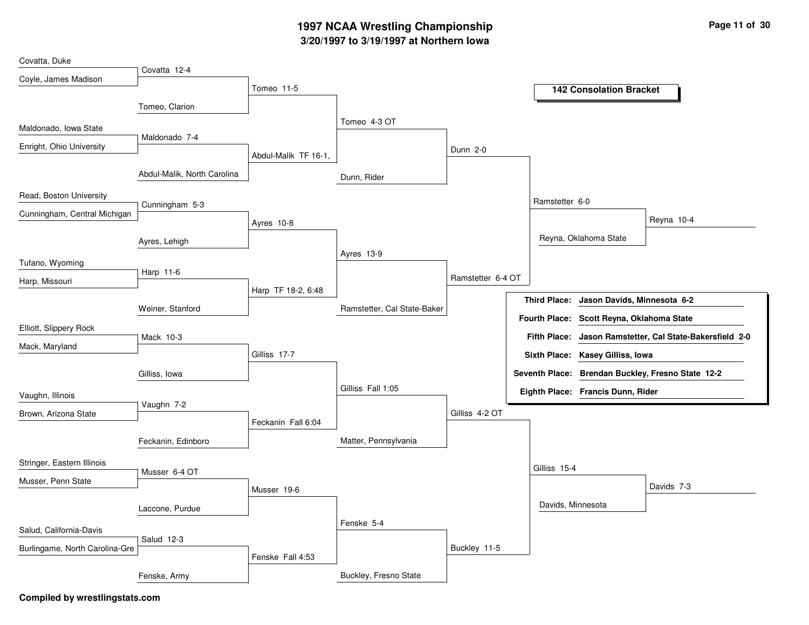## **3/20/1997 to 3/19/1997 at Northern Iowa 1997 NCAA Wrestling Championship Page <sup>11</sup> of <sup>30</sup>**

| Covatta, Duke                  |                             |                      |                             |                   |                     |                                           |                                                          |
|--------------------------------|-----------------------------|----------------------|-----------------------------|-------------------|---------------------|-------------------------------------------|----------------------------------------------------------|
| Coyle, James Madison           | Covatta 12-4                |                      |                             |                   |                     |                                           |                                                          |
|                                |                             | Tomeo 11-5           |                             |                   |                     | <b>142 Consolation Bracket</b>            |                                                          |
|                                | Tomeo, Clarion              |                      |                             |                   |                     |                                           |                                                          |
|                                |                             |                      | Tomeo 4-3 OT                |                   |                     |                                           |                                                          |
| Maldonado, Iowa State          | Maldonado 7-4               |                      |                             |                   |                     |                                           |                                                          |
| Enright, Ohio University       |                             |                      |                             | <b>Dunn 2-0</b>   |                     |                                           |                                                          |
|                                |                             | Abdul-Malik TF 16-1, |                             |                   |                     |                                           |                                                          |
|                                | Abdul-Malik, North Carolina |                      | Dunn, Rider                 |                   |                     |                                           |                                                          |
| Read, Boston University        |                             |                      |                             |                   |                     |                                           |                                                          |
|                                | Cunningham 5-3              |                      |                             |                   | Ramstetter 6-0      |                                           |                                                          |
| Cunningham, Central Michigan   |                             | Ayres 10-8           |                             |                   |                     |                                           | Reyna 10-4                                               |
|                                |                             |                      |                             |                   |                     | Reyna, Oklahoma State                     |                                                          |
|                                | Ayres, Lehigh               |                      | Ayres 13-9                  |                   |                     |                                           |                                                          |
| Tufano, Wyoming                |                             |                      |                             |                   |                     |                                           |                                                          |
| Harp, Missouri                 | Harp 11-6                   |                      |                             | Ramstetter 6-4 OT |                     |                                           |                                                          |
|                                |                             | Harp TF 18-2, 6:48   |                             |                   |                     |                                           |                                                          |
|                                | Weiner, Stanford            |                      | Ramstetter, Cal State-Baker |                   | <b>Third Place:</b> | Jason Davids, Minnesota 6-2               |                                                          |
|                                |                             |                      |                             |                   |                     | Fourth Place: Scott Reyna, Oklahoma State |                                                          |
| Elliott, Slippery Rock         | Mack 10-3                   |                      |                             |                   |                     |                                           | Fifth Place: Jason Ramstetter, Cal State-Bakersfield 2-0 |
| Mack, Maryland                 |                             | Gilliss 17-7         |                             |                   |                     | Sixth Place: Kasey Gilliss, Iowa          |                                                          |
|                                |                             |                      |                             |                   |                     |                                           |                                                          |
|                                | Gilliss, Iowa               |                      |                             |                   |                     |                                           | Seventh Place: Brendan Buckley, Fresno State 12-2        |
| Vaughn, Illinois               |                             |                      | Gilliss Fall 1:05           |                   |                     | Eighth Place: Francis Dunn, Rider         |                                                          |
| Brown, Arizona State           | Vaughn 7-2                  |                      |                             | Gilliss 4-2 OT    |                     |                                           |                                                          |
|                                |                             | Feckanin Fall 6:04   |                             |                   |                     |                                           |                                                          |
|                                | Feckanin, Edinboro          |                      | Matter, Pennsylvania        |                   |                     |                                           |                                                          |
|                                |                             |                      |                             |                   |                     |                                           |                                                          |
| Stringer, Eastern Illinois     | Musser 6-4 OT               |                      |                             |                   | Gilliss 15-4        |                                           |                                                          |
| Musser, Penn State             |                             |                      |                             |                   |                     |                                           | Davids 7-3                                               |
|                                |                             | Musser 19-6          |                             |                   |                     |                                           |                                                          |
|                                | Laccone, Purdue             |                      |                             |                   | Davids, Minnesota   |                                           |                                                          |
| Salud, California-Davis        |                             |                      | Fenske 5-4                  |                   |                     |                                           |                                                          |
|                                | Salud 12-3                  |                      |                             |                   |                     |                                           |                                                          |
| Burlingame, North Carolina-Gre |                             | Fenske Fall 4:53     |                             | Buckley 11-5      |                     |                                           |                                                          |
|                                |                             |                      |                             |                   |                     |                                           |                                                          |
|                                | Fenske, Army                |                      | Buckley, Fresno State       |                   |                     |                                           |                                                          |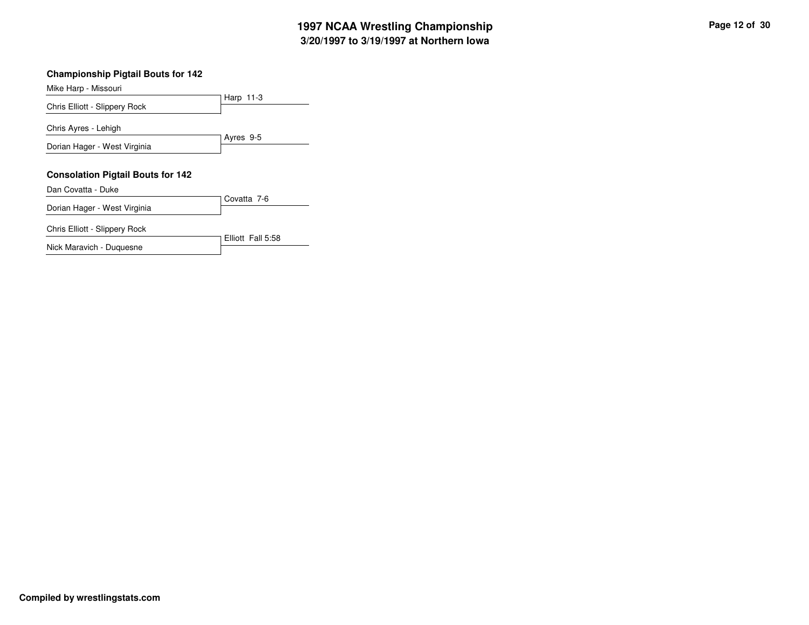## **3/20/1997 to 3/19/1997 at Northern Iowa 1997 NCAA Wrestling Championship Page <sup>12</sup> of <sup>30</sup>**

### **Championship Pigtail Bouts for 142**

Harp 11-3 Mike Harp - Missouri Chris Elliott - Slippery Rock Ayres 9-5 Chris Ayres - Lehigh Dorian Hager - West Virginia **Consolation Pigtail Bouts for 142** Covatta 7-6 Dan Covatta - Duke Dorian Hager - West Virginia Chris Elliott - Slippery Rock

Elliott Fall 5:58

Nick Maravich - Duquesne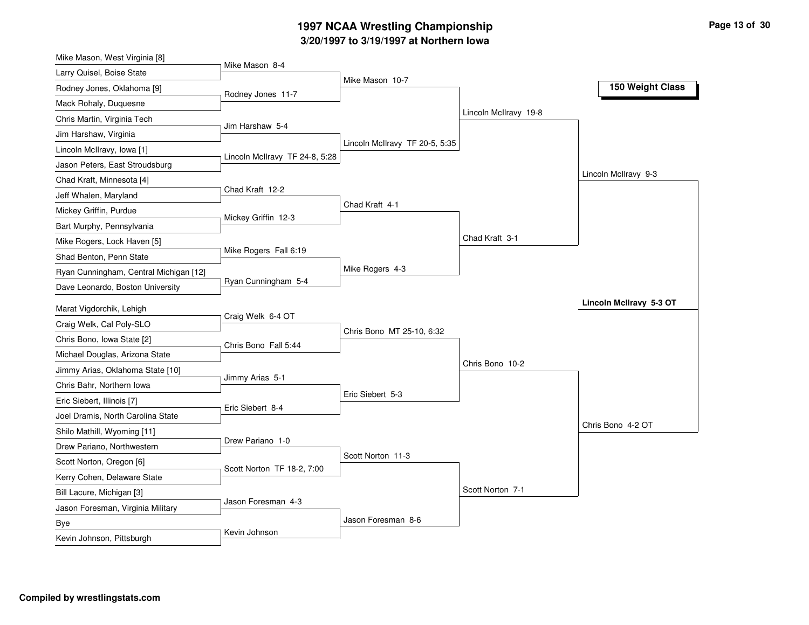## **3/20/1997 to 3/19/1997 at Northern Iowa 1997 NCAA Wrestling Championship Page <sup>13</sup> of <sup>30</sup>**

| Mike Mason, West Virginia [8]            |                                |                                |                       |                         |
|------------------------------------------|--------------------------------|--------------------------------|-----------------------|-------------------------|
| Larry Quisel, Boise State                | Mike Mason 8-4                 |                                |                       |                         |
| Rodney Jones, Oklahoma [9]               | Rodney Jones 11-7              | Mike Mason 10-7                |                       | 150 Weight Class        |
| Mack Rohaly, Duquesne                    |                                |                                |                       |                         |
| Chris Martin, Virginia Tech              |                                |                                | Lincoln McIlravy 19-8 |                         |
| Jim Harshaw, Virginia                    | Jim Harshaw 5-4                |                                |                       |                         |
| Lincoln McIlravy, Iowa [1]               |                                | Lincoln McIlravy TF 20-5, 5:35 |                       |                         |
| Jason Peters, East Stroudsburg           | Lincoln McIlravy TF 24-8, 5:28 |                                |                       |                         |
| Chad Kraft, Minnesota [4]                |                                |                                |                       | Lincoln McIlravy 9-3    |
| Jeff Whalen, Maryland                    | Chad Kraft 12-2                |                                |                       |                         |
| Mickey Griffin, Purdue                   |                                | Chad Kraft 4-1                 |                       |                         |
| Bart Murphy, Pennsylvania                | Mickey Griffin 12-3            |                                |                       |                         |
| Mike Rogers, Lock Haven [5]              |                                |                                | Chad Kraft 3-1        |                         |
| Shad Benton, Penn State                  | Mike Rogers Fall 6:19          |                                |                       |                         |
| Ryan Cunningham, Central Michigan [12]   |                                | Mike Rogers 4-3                |                       |                         |
| Dave Leonardo, Boston University         | Ryan Cunningham 5-4            |                                |                       |                         |
| Marat Vigdorchik, Lehigh                 |                                |                                |                       | Lincoln McIlravy 5-3 OT |
| Craig Welk, Cal Poly-SLO                 | Craig Welk 6-4 OT              |                                |                       |                         |
| Chris Bono, Iowa State [2]               |                                | Chris Bono MT 25-10, 6:32      |                       |                         |
| Michael Douglas, Arizona State           | Chris Bono Fall 5:44           |                                |                       |                         |
| Jimmy Arias, Oklahoma State [10]         |                                |                                | Chris Bono 10-2       |                         |
| Chris Bahr, Northern Iowa                | Jimmy Arias 5-1                |                                |                       |                         |
| Eric Siebert, Illinois [7]               |                                | Eric Siebert 5-3               |                       |                         |
| Joel Dramis, North Carolina State        | Eric Siebert 8-4               |                                |                       |                         |
| Shilo Mathill, Wyoming [11]              |                                |                                |                       | Chris Bono 4-2 OT       |
| Drew Pariano, Northwestern               | Drew Pariano 1-0               |                                |                       |                         |
| Scott Norton, Oregon [6]                 |                                | Scott Norton 11-3              |                       |                         |
|                                          | Scott Norton TF 18-2, 7:00     |                                |                       |                         |
|                                          |                                |                                |                       |                         |
| Kerry Cohen, Delaware State              |                                |                                | Scott Norton 7-1      |                         |
| Bill Lacure, Michigan [3]                | Jason Foresman 4-3             |                                |                       |                         |
| Jason Foresman, Virginia Military<br>Bye |                                | Jason Foresman 8-6             |                       |                         |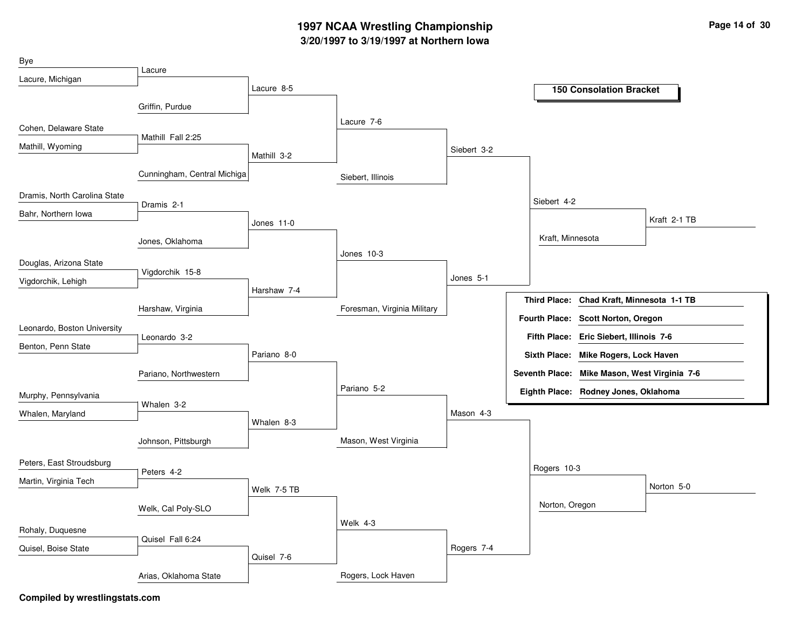## **3/20/1997 to 3/19/1997 at Northern Iowa 1997 NCAA Wrestling Championship Page <sup>14</sup> of <sup>30</sup>**

| Bye                          |                             |             |                             |             |                     |                                              |              |
|------------------------------|-----------------------------|-------------|-----------------------------|-------------|---------------------|----------------------------------------------|--------------|
| Lacure, Michigan             | Lacure                      |             |                             |             |                     |                                              |              |
|                              |                             | Lacure 8-5  |                             |             |                     | <b>150 Consolation Bracket</b>               |              |
|                              | Griffin, Purdue             |             |                             |             |                     |                                              |              |
| Cohen, Delaware State        |                             |             | Lacure 7-6                  |             |                     |                                              |              |
| Mathill, Wyoming             | Mathill Fall 2:25           |             |                             | Siebert 3-2 |                     |                                              |              |
|                              |                             | Mathill 3-2 |                             |             |                     |                                              |              |
|                              | Cunningham, Central Michiga |             | Siebert, Illinois           |             |                     |                                              |              |
| Dramis, North Carolina State |                             |             |                             |             | Siebert 4-2         |                                              |              |
| Bahr, Northern Iowa          | Dramis 2-1                  |             |                             |             |                     |                                              | Kraft 2-1 TB |
|                              |                             | Jones 11-0  |                             |             |                     |                                              |              |
|                              | Jones, Oklahoma             |             | Jones 10-3                  |             | Kraft, Minnesota    |                                              |              |
| Douglas, Arizona State       | Vigdorchik 15-8             |             |                             |             |                     |                                              |              |
| Vigdorchik, Lehigh           |                             |             |                             | Jones 5-1   |                     |                                              |              |
|                              |                             | Harshaw 7-4 |                             |             | <b>Third Place:</b> | Chad Kraft, Minnesota 1-1 TB                 |              |
|                              | Harshaw, Virginia           |             | Foresman, Virginia Military |             |                     | Fourth Place: Scott Norton, Oregon           |              |
| Leonardo, Boston University  | Leonardo 3-2                |             |                             |             |                     | Fifth Place: Eric Siebert, Illinois 7-6      |              |
| Benton, Penn State           |                             | Pariano 8-0 |                             |             | <b>Sixth Place:</b> | Mike Rogers, Lock Haven                      |              |
|                              | Pariano, Northwestern       |             |                             |             |                     | Seventh Place: Mike Mason, West Virginia 7-6 |              |
|                              |                             |             | Pariano 5-2                 |             |                     | Eighth Place: Rodney Jones, Oklahoma         |              |
| Murphy, Pennsylvania         | Whalen 3-2                  |             |                             |             |                     |                                              |              |
| Whalen, Maryland             |                             | Whalen 8-3  |                             | Mason 4-3   |                     |                                              |              |
|                              | Johnson, Pittsburgh         |             | Mason, West Virginia        |             |                     |                                              |              |
|                              |                             |             |                             |             |                     |                                              |              |
| Peters, East Stroudsburg     | Peters 4-2                  |             |                             |             | Rogers 10-3         |                                              |              |
| Martin, Virginia Tech        |                             | Welk 7-5 TB |                             |             |                     |                                              | Norton 5-0   |
|                              | Welk, Cal Poly-SLO          |             |                             |             | Norton, Oregon      |                                              |              |
|                              |                             |             | Welk 4-3                    |             |                     |                                              |              |
| Rohaly, Duquesne             | Quisel Fall 6:24            |             |                             |             |                     |                                              |              |
| Quisel, Boise State          |                             | Quisel 7-6  |                             | Rogers 7-4  |                     |                                              |              |
|                              | Arias, Oklahoma State       |             | Rogers, Lock Haven          |             |                     |                                              |              |
|                              |                             |             |                             |             |                     |                                              |              |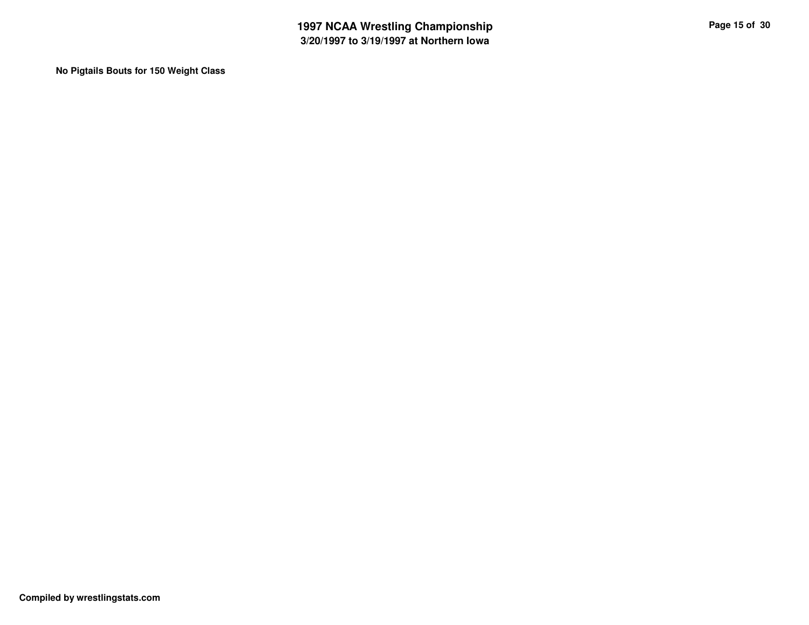**No Pigtails Bouts for 150 Weight Class**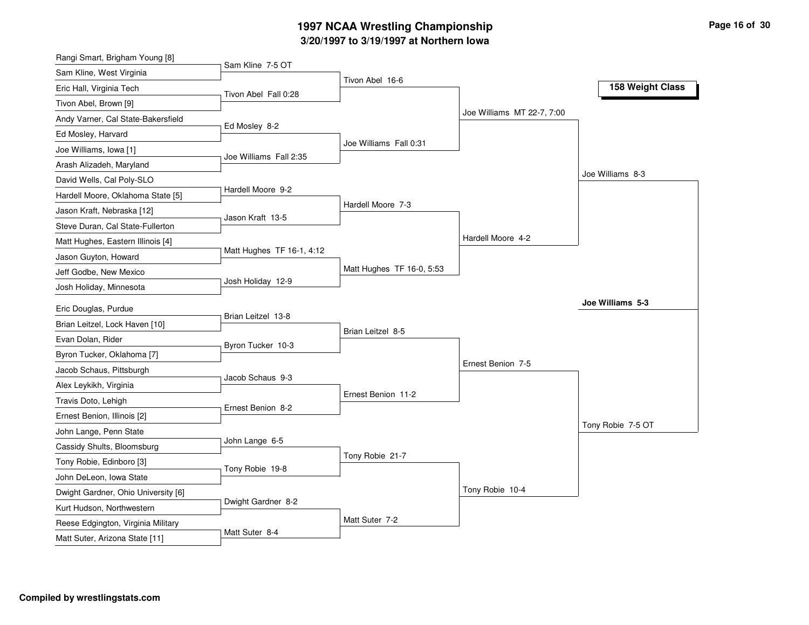### **3/20/1997 to 3/19/1997 at Northern Iowa 1997 NCAA Wrestling Championship Page <sup>16</sup> of <sup>30</sup>**

| Sam Kline 7-5 OT<br>Sam Kline, West Virginia<br>Tivon Abel 16-6<br>158 Weight Class<br>Eric Hall, Virginia Tech<br>Tivon Abel Fall 0:28<br>Tivon Abel, Brown [9]<br>Joe Williams MT 22-7, 7:00<br>Andy Varner, Cal State-Bakersfield<br>Ed Mosley 8-2<br>Ed Mosley, Harvard<br>Joe Williams Fall 0:31<br>Joe Williams, Iowa [1]<br>Joe Williams Fall 2:35<br>Arash Alizadeh, Maryland<br>Joe Williams 8-3<br>David Wells, Cal Poly-SLO<br>Hardell Moore 9-2<br>Hardell Moore, Oklahoma State [5]<br>Hardell Moore 7-3<br>Jason Kraft, Nebraska [12]<br>Jason Kraft 13-5<br>Steve Duran, Cal State-Fullerton<br>Hardell Moore 4-2<br>Matt Hughes, Eastern Illinois [4]<br>Matt Hughes TF 16-1, 4:12<br>Matt Hughes TF 16-0, 5:53<br>Jeff Godbe, New Mexico<br>Josh Holiday 12-9<br>Josh Holiday, Minnesota<br>Joe Williams 5-3<br>Eric Douglas, Purdue<br>Brian Leitzel 13-8<br>Brian Leitzel, Lock Haven [10]<br>Brian Leitzel 8-5<br>Evan Dolan, Rider<br>Byron Tucker 10-3<br>Byron Tucker, Oklahoma [7]<br>Ernest Benion 7-5<br>Jacob Schaus, Pittsburgh<br>Jacob Schaus 9-3<br>Alex Leykikh, Virginia<br>Ernest Benion 11-2<br>Travis Doto, Lehigh<br>Ernest Benion 8-2<br>Ernest Benion, Illinois [2]<br>Tony Robie 7-5 OT<br>John Lange, Penn State<br>John Lange 6-5<br>Cassidy Shults, Bloomsburg<br>Tony Robie 21-7<br>Tony Robie, Edinboro [3]<br>Tony Robie 19-8<br>John DeLeon, Iowa State<br>Tony Robie 10-4<br>Dwight Gardner, Ohio University [6]<br>Dwight Gardner 8-2<br>Kurt Hudson, Northwestern<br>Matt Suter 7-2<br>Reese Edgington, Virginia Military | Rangi Smart, Brigham Young [8] |  |  |
|-----------------------------------------------------------------------------------------------------------------------------------------------------------------------------------------------------------------------------------------------------------------------------------------------------------------------------------------------------------------------------------------------------------------------------------------------------------------------------------------------------------------------------------------------------------------------------------------------------------------------------------------------------------------------------------------------------------------------------------------------------------------------------------------------------------------------------------------------------------------------------------------------------------------------------------------------------------------------------------------------------------------------------------------------------------------------------------------------------------------------------------------------------------------------------------------------------------------------------------------------------------------------------------------------------------------------------------------------------------------------------------------------------------------------------------------------------------------------------------------------------------------------------------------------------------------------------|--------------------------------|--|--|
|                                                                                                                                                                                                                                                                                                                                                                                                                                                                                                                                                                                                                                                                                                                                                                                                                                                                                                                                                                                                                                                                                                                                                                                                                                                                                                                                                                                                                                                                                                                                                                             |                                |  |  |
|                                                                                                                                                                                                                                                                                                                                                                                                                                                                                                                                                                                                                                                                                                                                                                                                                                                                                                                                                                                                                                                                                                                                                                                                                                                                                                                                                                                                                                                                                                                                                                             |                                |  |  |
|                                                                                                                                                                                                                                                                                                                                                                                                                                                                                                                                                                                                                                                                                                                                                                                                                                                                                                                                                                                                                                                                                                                                                                                                                                                                                                                                                                                                                                                                                                                                                                             |                                |  |  |
|                                                                                                                                                                                                                                                                                                                                                                                                                                                                                                                                                                                                                                                                                                                                                                                                                                                                                                                                                                                                                                                                                                                                                                                                                                                                                                                                                                                                                                                                                                                                                                             |                                |  |  |
|                                                                                                                                                                                                                                                                                                                                                                                                                                                                                                                                                                                                                                                                                                                                                                                                                                                                                                                                                                                                                                                                                                                                                                                                                                                                                                                                                                                                                                                                                                                                                                             |                                |  |  |
|                                                                                                                                                                                                                                                                                                                                                                                                                                                                                                                                                                                                                                                                                                                                                                                                                                                                                                                                                                                                                                                                                                                                                                                                                                                                                                                                                                                                                                                                                                                                                                             |                                |  |  |
|                                                                                                                                                                                                                                                                                                                                                                                                                                                                                                                                                                                                                                                                                                                                                                                                                                                                                                                                                                                                                                                                                                                                                                                                                                                                                                                                                                                                                                                                                                                                                                             |                                |  |  |
|                                                                                                                                                                                                                                                                                                                                                                                                                                                                                                                                                                                                                                                                                                                                                                                                                                                                                                                                                                                                                                                                                                                                                                                                                                                                                                                                                                                                                                                                                                                                                                             |                                |  |  |
|                                                                                                                                                                                                                                                                                                                                                                                                                                                                                                                                                                                                                                                                                                                                                                                                                                                                                                                                                                                                                                                                                                                                                                                                                                                                                                                                                                                                                                                                                                                                                                             |                                |  |  |
|                                                                                                                                                                                                                                                                                                                                                                                                                                                                                                                                                                                                                                                                                                                                                                                                                                                                                                                                                                                                                                                                                                                                                                                                                                                                                                                                                                                                                                                                                                                                                                             |                                |  |  |
|                                                                                                                                                                                                                                                                                                                                                                                                                                                                                                                                                                                                                                                                                                                                                                                                                                                                                                                                                                                                                                                                                                                                                                                                                                                                                                                                                                                                                                                                                                                                                                             |                                |  |  |
|                                                                                                                                                                                                                                                                                                                                                                                                                                                                                                                                                                                                                                                                                                                                                                                                                                                                                                                                                                                                                                                                                                                                                                                                                                                                                                                                                                                                                                                                                                                                                                             |                                |  |  |
|                                                                                                                                                                                                                                                                                                                                                                                                                                                                                                                                                                                                                                                                                                                                                                                                                                                                                                                                                                                                                                                                                                                                                                                                                                                                                                                                                                                                                                                                                                                                                                             | Jason Guyton, Howard           |  |  |
|                                                                                                                                                                                                                                                                                                                                                                                                                                                                                                                                                                                                                                                                                                                                                                                                                                                                                                                                                                                                                                                                                                                                                                                                                                                                                                                                                                                                                                                                                                                                                                             |                                |  |  |
|                                                                                                                                                                                                                                                                                                                                                                                                                                                                                                                                                                                                                                                                                                                                                                                                                                                                                                                                                                                                                                                                                                                                                                                                                                                                                                                                                                                                                                                                                                                                                                             |                                |  |  |
|                                                                                                                                                                                                                                                                                                                                                                                                                                                                                                                                                                                                                                                                                                                                                                                                                                                                                                                                                                                                                                                                                                                                                                                                                                                                                                                                                                                                                                                                                                                                                                             |                                |  |  |
|                                                                                                                                                                                                                                                                                                                                                                                                                                                                                                                                                                                                                                                                                                                                                                                                                                                                                                                                                                                                                                                                                                                                                                                                                                                                                                                                                                                                                                                                                                                                                                             |                                |  |  |
|                                                                                                                                                                                                                                                                                                                                                                                                                                                                                                                                                                                                                                                                                                                                                                                                                                                                                                                                                                                                                                                                                                                                                                                                                                                                                                                                                                                                                                                                                                                                                                             |                                |  |  |
|                                                                                                                                                                                                                                                                                                                                                                                                                                                                                                                                                                                                                                                                                                                                                                                                                                                                                                                                                                                                                                                                                                                                                                                                                                                                                                                                                                                                                                                                                                                                                                             |                                |  |  |
|                                                                                                                                                                                                                                                                                                                                                                                                                                                                                                                                                                                                                                                                                                                                                                                                                                                                                                                                                                                                                                                                                                                                                                                                                                                                                                                                                                                                                                                                                                                                                                             |                                |  |  |
|                                                                                                                                                                                                                                                                                                                                                                                                                                                                                                                                                                                                                                                                                                                                                                                                                                                                                                                                                                                                                                                                                                                                                                                                                                                                                                                                                                                                                                                                                                                                                                             |                                |  |  |
|                                                                                                                                                                                                                                                                                                                                                                                                                                                                                                                                                                                                                                                                                                                                                                                                                                                                                                                                                                                                                                                                                                                                                                                                                                                                                                                                                                                                                                                                                                                                                                             |                                |  |  |
|                                                                                                                                                                                                                                                                                                                                                                                                                                                                                                                                                                                                                                                                                                                                                                                                                                                                                                                                                                                                                                                                                                                                                                                                                                                                                                                                                                                                                                                                                                                                                                             |                                |  |  |
|                                                                                                                                                                                                                                                                                                                                                                                                                                                                                                                                                                                                                                                                                                                                                                                                                                                                                                                                                                                                                                                                                                                                                                                                                                                                                                                                                                                                                                                                                                                                                                             |                                |  |  |
|                                                                                                                                                                                                                                                                                                                                                                                                                                                                                                                                                                                                                                                                                                                                                                                                                                                                                                                                                                                                                                                                                                                                                                                                                                                                                                                                                                                                                                                                                                                                                                             |                                |  |  |
|                                                                                                                                                                                                                                                                                                                                                                                                                                                                                                                                                                                                                                                                                                                                                                                                                                                                                                                                                                                                                                                                                                                                                                                                                                                                                                                                                                                                                                                                                                                                                                             |                                |  |  |
|                                                                                                                                                                                                                                                                                                                                                                                                                                                                                                                                                                                                                                                                                                                                                                                                                                                                                                                                                                                                                                                                                                                                                                                                                                                                                                                                                                                                                                                                                                                                                                             |                                |  |  |
|                                                                                                                                                                                                                                                                                                                                                                                                                                                                                                                                                                                                                                                                                                                                                                                                                                                                                                                                                                                                                                                                                                                                                                                                                                                                                                                                                                                                                                                                                                                                                                             |                                |  |  |
|                                                                                                                                                                                                                                                                                                                                                                                                                                                                                                                                                                                                                                                                                                                                                                                                                                                                                                                                                                                                                                                                                                                                                                                                                                                                                                                                                                                                                                                                                                                                                                             |                                |  |  |
|                                                                                                                                                                                                                                                                                                                                                                                                                                                                                                                                                                                                                                                                                                                                                                                                                                                                                                                                                                                                                                                                                                                                                                                                                                                                                                                                                                                                                                                                                                                                                                             |                                |  |  |
| Matt Suter 8-4<br>Matt Suter, Arizona State [11]                                                                                                                                                                                                                                                                                                                                                                                                                                                                                                                                                                                                                                                                                                                                                                                                                                                                                                                                                                                                                                                                                                                                                                                                                                                                                                                                                                                                                                                                                                                            |                                |  |  |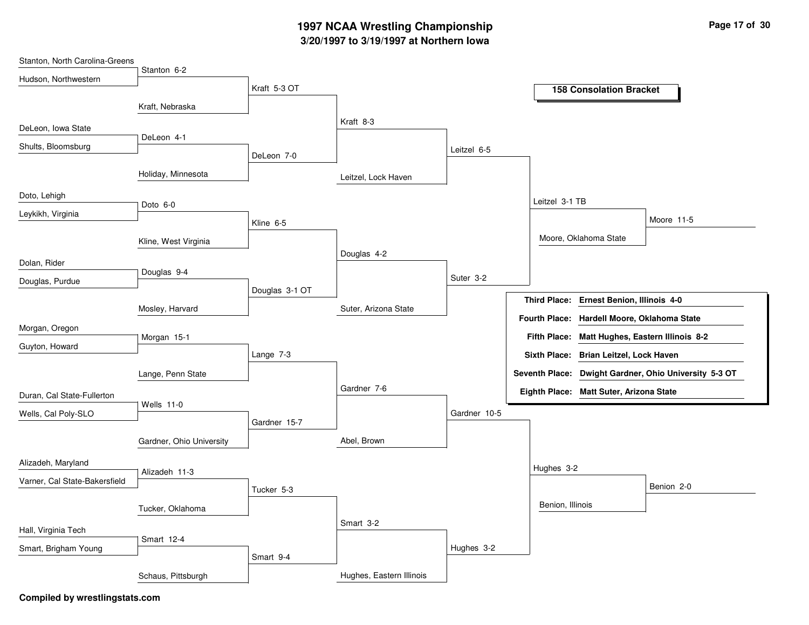## **3/20/1997 to 3/19/1997 at Northern Iowa 1997 NCAA Wrestling Championship Page <sup>17</sup> of <sup>30</sup>**

| Stanton, North Carolina-Greens |                          |                |                          |              |                  |                                                |                                                       |
|--------------------------------|--------------------------|----------------|--------------------------|--------------|------------------|------------------------------------------------|-------------------------------------------------------|
| Hudson, Northwestern           | Stanton 6-2              |                |                          |              |                  |                                                |                                                       |
|                                |                          | Kraft 5-3 OT   |                          |              |                  | <b>158 Consolation Bracket</b>                 |                                                       |
|                                | Kraft, Nebraska          |                |                          |              |                  |                                                |                                                       |
|                                |                          |                | Kraft 8-3                |              |                  |                                                |                                                       |
| DeLeon, Iowa State             | DeLeon 4-1               |                |                          |              |                  |                                                |                                                       |
| Shults, Bloomsburg             |                          | DeLeon 7-0     |                          | Leitzel 6-5  |                  |                                                |                                                       |
|                                |                          |                |                          |              |                  |                                                |                                                       |
|                                | Holiday, Minnesota       |                | Leitzel, Lock Haven      |              |                  |                                                |                                                       |
| Doto, Lehigh                   |                          |                |                          |              | Leitzel 3-1 TB   |                                                |                                                       |
| Leykikh, Virginia              | Doto 6-0                 |                |                          |              |                  |                                                |                                                       |
|                                |                          | Kline 6-5      |                          |              |                  |                                                | Moore 11-5                                            |
|                                | Kline, West Virginia     |                |                          |              |                  | Moore, Oklahoma State                          |                                                       |
| Dolan, Rider                   |                          |                | Douglas 4-2              |              |                  |                                                |                                                       |
|                                | Douglas 9-4              |                |                          | Suter 3-2    |                  |                                                |                                                       |
| Douglas, Purdue                |                          | Douglas 3-1 OT |                          |              |                  |                                                |                                                       |
|                                | Mosley, Harvard          |                | Suter, Arizona State     |              |                  | Third Place: Ernest Benion, Illinois 4-0       |                                                       |
|                                |                          |                |                          |              |                  | Fourth Place: Hardell Moore, Oklahoma State    |                                                       |
| Morgan, Oregon                 | Morgan 15-1              |                |                          |              |                  | Fifth Place: Matt Hughes, Eastern Illinois 8-2 |                                                       |
| Guyton, Howard                 |                          | Lange 7-3      |                          |              |                  | Sixth Place: Brian Leitzel, Lock Haven         |                                                       |
|                                |                          |                |                          |              |                  |                                                | Seventh Place: Dwight Gardner, Ohio University 5-3 OT |
|                                | Lange, Penn State        |                | Gardner 7-6              |              |                  |                                                |                                                       |
| Duran, Cal State-Fullerton     |                          |                |                          |              |                  | Eighth Place: Matt Suter, Arizona State        |                                                       |
| Wells, Cal Poly-SLO            | Wells 11-0               |                |                          | Gardner 10-5 |                  |                                                |                                                       |
|                                |                          | Gardner 15-7   |                          |              |                  |                                                |                                                       |
|                                | Gardner, Ohio University |                | Abel, Brown              |              |                  |                                                |                                                       |
| Alizadeh, Maryland             |                          |                |                          |              |                  |                                                |                                                       |
| Varner, Cal State-Bakersfield  | Alizadeh 11-3            |                |                          |              | Hughes 3-2       |                                                |                                                       |
|                                |                          | Tucker 5-3     |                          |              |                  |                                                | Benion 2-0                                            |
|                                | Tucker, Oklahoma         |                |                          |              | Benion, Illinois |                                                |                                                       |
|                                |                          |                | Smart 3-2                |              |                  |                                                |                                                       |
| Hall, Virginia Tech            | Smart 12-4               |                |                          |              |                  |                                                |                                                       |
| Smart, Brigham Young           |                          | Smart 9-4      |                          | Hughes 3-2   |                  |                                                |                                                       |
|                                |                          |                |                          |              |                  |                                                |                                                       |
|                                | Schaus, Pittsburgh       |                | Hughes, Eastern Illinois |              |                  |                                                |                                                       |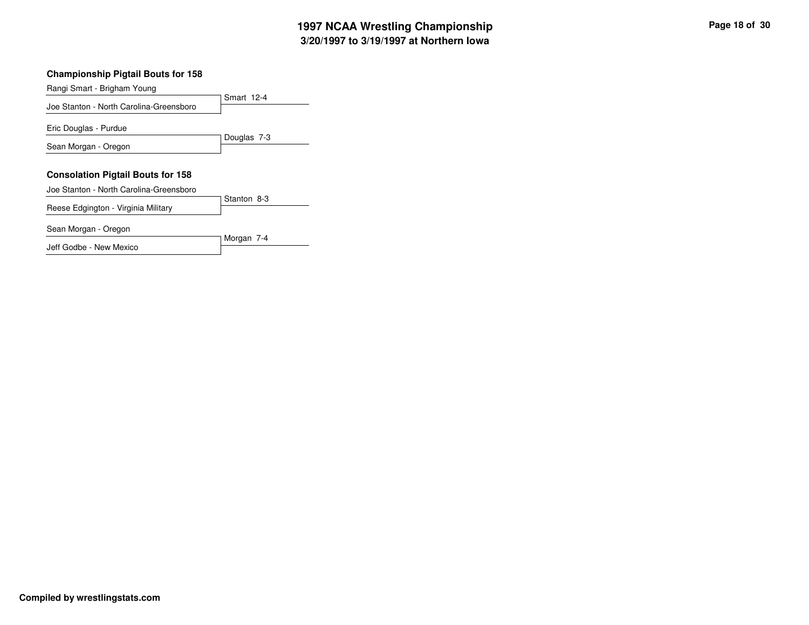## **3/20/1997 to 3/19/1997 at Northern Iowa 1997 NCAA Wrestling Championship Page <sup>18</sup> of <sup>30</sup>**

### **Championship Pigtail Bouts for 158**

| Rangi Smart - Brigham Young              |             |
|------------------------------------------|-------------|
| Joe Stanton - North Carolina-Greensboro  | Smart 12-4  |
|                                          |             |
| Eric Douglas - Purdue                    |             |
|                                          | Douglas 7-3 |
| Sean Morgan - Oregon                     |             |
|                                          |             |
| <b>Consolation Pigtail Bouts for 158</b> |             |
| Joe Stanton - North Carolina-Greensboro  |             |
| Reese Edgington - Virginia Military      | Stanton 8-3 |
|                                          |             |
| Sean Morgan - Oregon                     |             |
|                                          | Morgan 7-4  |
| Jeff Godbe - New Mexico                  |             |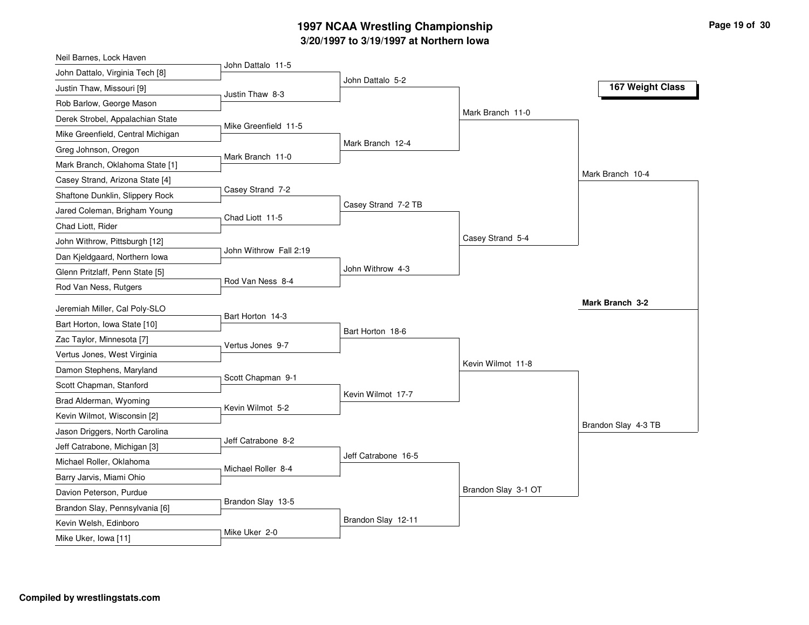## **3/20/1997 to 3/19/1997 at Northern Iowa 1997 NCAA Wrestling Championship Page <sup>19</sup> of <sup>30</sup>**

| John Dattalo 11-5<br>John Dattalo, Virginia Tech [8]<br>John Dattalo 5-2<br>Justin Thaw, Missouri [9]<br>Justin Thaw 8-3<br>Rob Barlow, George Mason<br>Mark Branch 11-0<br>Derek Strobel, Appalachian State<br>Mike Greenfield 11-5<br>Mike Greenfield, Central Michigan<br>Mark Branch 12-4<br>Greg Johnson, Oregon<br>Mark Branch 11-0<br>Mark Branch, Oklahoma State [1]<br>Mark Branch 10-4<br>Casey Strand, Arizona State [4] |                  |  |                  |
|-------------------------------------------------------------------------------------------------------------------------------------------------------------------------------------------------------------------------------------------------------------------------------------------------------------------------------------------------------------------------------------------------------------------------------------|------------------|--|------------------|
|                                                                                                                                                                                                                                                                                                                                                                                                                                     |                  |  |                  |
|                                                                                                                                                                                                                                                                                                                                                                                                                                     |                  |  | 167 Weight Class |
|                                                                                                                                                                                                                                                                                                                                                                                                                                     |                  |  |                  |
|                                                                                                                                                                                                                                                                                                                                                                                                                                     |                  |  |                  |
|                                                                                                                                                                                                                                                                                                                                                                                                                                     |                  |  |                  |
|                                                                                                                                                                                                                                                                                                                                                                                                                                     |                  |  |                  |
|                                                                                                                                                                                                                                                                                                                                                                                                                                     |                  |  |                  |
|                                                                                                                                                                                                                                                                                                                                                                                                                                     |                  |  |                  |
| Shaftone Dunklin, Slippery Rock                                                                                                                                                                                                                                                                                                                                                                                                     | Casey Strand 7-2 |  |                  |
| Casey Strand 7-2 TB<br>Jared Coleman, Brigham Young                                                                                                                                                                                                                                                                                                                                                                                 |                  |  |                  |
| Chad Liott 11-5<br>Chad Liott, Rider                                                                                                                                                                                                                                                                                                                                                                                                |                  |  |                  |
| Casey Strand 5-4<br>John Withrow, Pittsburgh [12]                                                                                                                                                                                                                                                                                                                                                                                   |                  |  |                  |
| John Withrow Fall 2:19<br>Dan Kjeldgaard, Northern Iowa                                                                                                                                                                                                                                                                                                                                                                             |                  |  |                  |
| John Withrow 4-3<br>Glenn Pritzlaff, Penn State [5]                                                                                                                                                                                                                                                                                                                                                                                 |                  |  |                  |
| Rod Van Ness 8-4<br>Rod Van Ness, Rutgers                                                                                                                                                                                                                                                                                                                                                                                           |                  |  |                  |
| Mark Branch 3-2<br>Jeremiah Miller, Cal Poly-SLO                                                                                                                                                                                                                                                                                                                                                                                    |                  |  |                  |
| Bart Horton 14-3<br>Bart Horton, Iowa State [10]                                                                                                                                                                                                                                                                                                                                                                                    |                  |  |                  |
| Bart Horton 18-6<br>Zac Taylor, Minnesota [7]                                                                                                                                                                                                                                                                                                                                                                                       |                  |  |                  |
| Vertus Jones 9-7<br>Vertus Jones, West Virginia                                                                                                                                                                                                                                                                                                                                                                                     |                  |  |                  |
| Kevin Wilmot 11-8<br>Damon Stephens, Maryland                                                                                                                                                                                                                                                                                                                                                                                       |                  |  |                  |
| Scott Chapman 9-1<br>Scott Chapman, Stanford                                                                                                                                                                                                                                                                                                                                                                                        |                  |  |                  |
| Kevin Wilmot 17-7<br>Brad Alderman, Wyoming                                                                                                                                                                                                                                                                                                                                                                                         |                  |  |                  |
| Kevin Wilmot 5-2<br>Kevin Wilmot, Wisconsin [2]                                                                                                                                                                                                                                                                                                                                                                                     |                  |  |                  |
| Brandon Slay 4-3 TB<br>Jason Driggers, North Carolina                                                                                                                                                                                                                                                                                                                                                                               |                  |  |                  |
| Jeff Catrabone 8-2<br>Jeff Catrabone, Michigan [3]                                                                                                                                                                                                                                                                                                                                                                                  |                  |  |                  |
| Jeff Catrabone 16-5<br>Michael Roller, Oklahoma                                                                                                                                                                                                                                                                                                                                                                                     |                  |  |                  |
| Michael Roller 8-4<br>Barry Jarvis, Miami Ohio                                                                                                                                                                                                                                                                                                                                                                                      |                  |  |                  |
| Brandon Slay 3-1 OT                                                                                                                                                                                                                                                                                                                                                                                                                 |                  |  |                  |
| Davion Peterson, Purdue<br>Brandon Slay 13-5                                                                                                                                                                                                                                                                                                                                                                                        |                  |  |                  |
| Brandon Slay, Pennsylvania [6]<br>Brandon Slay 12-11<br>Kevin Welsh, Edinboro                                                                                                                                                                                                                                                                                                                                                       |                  |  |                  |
| Mike Uker 2-0<br>Mike Uker, Iowa [11]                                                                                                                                                                                                                                                                                                                                                                                               |                  |  |                  |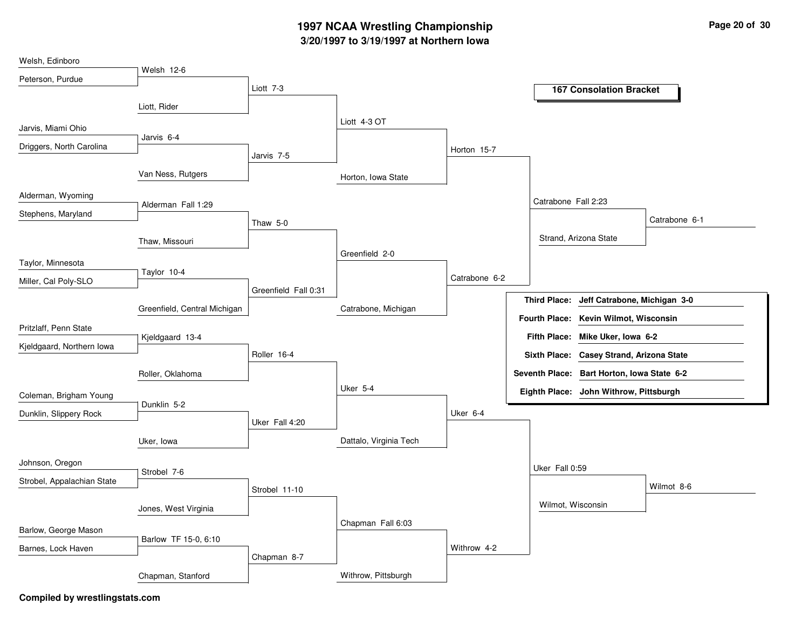## **3/20/1997 to 3/19/1997 at Northern Iowa 1997 NCAA Wrestling Championship Page <sup>20</sup> of <sup>30</sup>**

| Welsh, Edinboro            |                              |                       |                        |               |                                                     |
|----------------------------|------------------------------|-----------------------|------------------------|---------------|-----------------------------------------------------|
| Peterson, Purdue           | Welsh 12-6                   |                       |                        |               |                                                     |
|                            |                              | Liott 7-3             |                        |               | <b>167 Consolation Bracket</b>                      |
|                            | Liott, Rider                 |                       |                        |               |                                                     |
|                            |                              |                       | Liott 4-3 OT           |               |                                                     |
| Jarvis, Miami Ohio         | Jarvis 6-4                   |                       |                        |               |                                                     |
| Driggers, North Carolina   |                              | Jarvis <sub>7-5</sub> |                        | Horton 15-7   |                                                     |
|                            |                              |                       |                        |               |                                                     |
|                            | Van Ness, Rutgers            |                       | Horton, Iowa State     |               |                                                     |
| Alderman, Wyoming          |                              |                       |                        |               | Catrabone Fall 2:23                                 |
| Stephens, Maryland         | Alderman Fall 1:29           |                       |                        |               |                                                     |
|                            |                              | Thaw 5-0              |                        |               | Catrabone 6-1                                       |
|                            | Thaw, Missouri               |                       |                        |               | Strand, Arizona State                               |
| Taylor, Minnesota          |                              |                       | Greenfield 2-0         |               |                                                     |
|                            | Taylor 10-4                  |                       |                        | Catrabone 6-2 |                                                     |
| Miller, Cal Poly-SLO       |                              | Greenfield Fall 0:31  |                        |               |                                                     |
|                            | Greenfield, Central Michigan |                       | Catrabone, Michigan    |               | <b>Third Place:</b><br>Jeff Catrabone, Michigan 3-0 |
|                            |                              |                       |                        |               | Fourth Place: Kevin Wilmot, Wisconsin               |
| Pritzlaff, Penn State      | Kjeldgaard 13-4              |                       |                        |               | Fifth Place: Mike Uker, Iowa 6-2                    |
| Kjeldgaard, Northern lowa  |                              | Roller 16-4           |                        |               | Sixth Place: Casey Strand, Arizona State            |
|                            | Roller, Oklahoma             |                       |                        |               | Seventh Place: Bart Horton, Iowa State 6-2          |
|                            |                              |                       | Uker 5-4               |               | Eighth Place: John Withrow, Pittsburgh              |
| Coleman, Brigham Young     | Dunklin 5-2                  |                       |                        |               |                                                     |
| Dunklin, Slippery Rock     |                              | Uker Fall 4:20        |                        | Uker 6-4      |                                                     |
|                            |                              |                       |                        |               |                                                     |
|                            | Uker, Iowa                   |                       | Dattalo, Virginia Tech |               |                                                     |
| Johnson, Oregon            |                              |                       |                        |               | Uker Fall 0:59                                      |
| Strobel, Appalachian State | Strobel 7-6                  |                       |                        |               |                                                     |
|                            |                              | Strobel 11-10         |                        |               | Wilmot 8-6                                          |
|                            | Jones, West Virginia         |                       |                        |               | Wilmot, Wisconsin                                   |
|                            |                              |                       | Chapman Fall 6:03      |               |                                                     |
| Barlow, George Mason       | Barlow TF 15-0, 6:10         |                       |                        |               |                                                     |
| Barnes, Lock Haven         |                              | Chapman 8-7           |                        | Withrow 4-2   |                                                     |
|                            |                              |                       |                        |               |                                                     |
|                            | Chapman, Stanford            |                       | Withrow, Pittsburgh    |               |                                                     |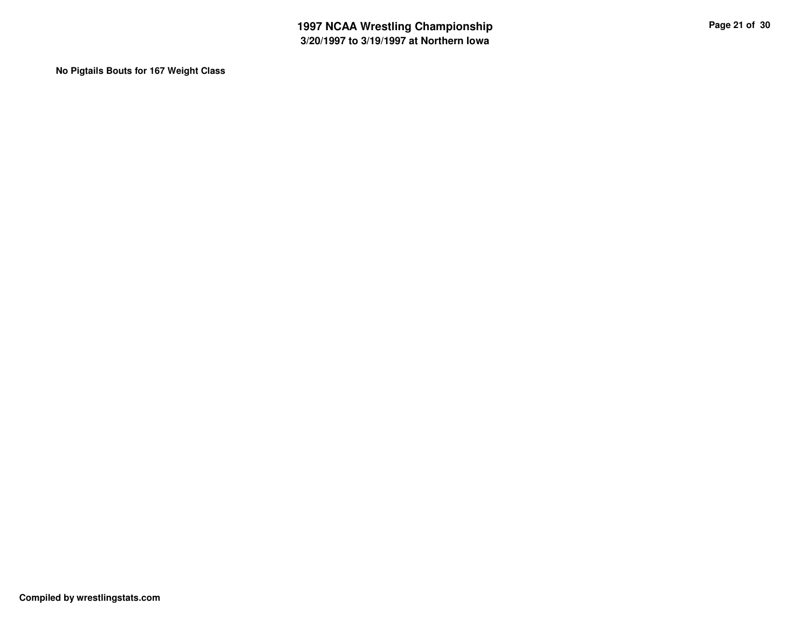**No Pigtails Bouts for 167 Weight Class**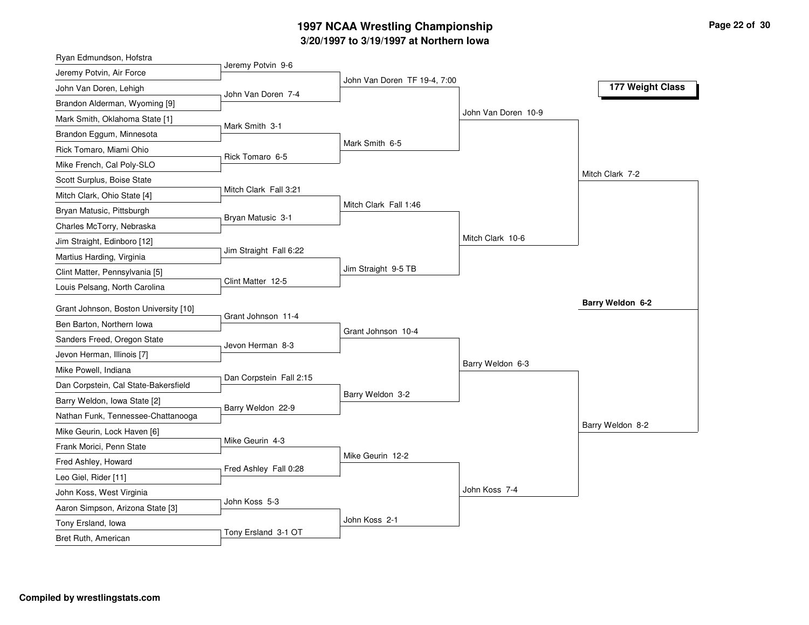### **3/20/1997 to 3/19/1997 at Northern Iowa 1997 NCAA Wrestling Championship Page <sup>22</sup> of <sup>30</sup>**

| Ryan Edmundson, Hofstra               |                         |                              |                     |                  |
|---------------------------------------|-------------------------|------------------------------|---------------------|------------------|
| Jeremy Potvin, Air Force              | Jeremy Potvin 9-6       |                              |                     |                  |
| John Van Doren, Lehigh                | John Van Doren 7-4      | John Van Doren TF 19-4, 7:00 |                     | 177 Weight Class |
| Brandon Alderman, Wyoming [9]         |                         |                              |                     |                  |
| Mark Smith, Oklahoma State [1]        | Mark Smith 3-1          |                              | John Van Doren 10-9 |                  |
| Brandon Eggum, Minnesota              |                         |                              |                     |                  |
| Rick Tomaro, Miami Ohio               | Rick Tomaro 6-5         | Mark Smith 6-5               |                     |                  |
| Mike French, Cal Poly-SLO             |                         |                              |                     |                  |
| Scott Surplus, Boise State            |                         |                              |                     | Mitch Clark 7-2  |
| Mitch Clark, Ohio State [4]           | Mitch Clark Fall 3:21   |                              |                     |                  |
| Bryan Matusic, Pittsburgh             | Bryan Matusic 3-1       | Mitch Clark Fall 1:46        |                     |                  |
| Charles McTorry, Nebraska             |                         |                              |                     |                  |
| Jim Straight, Edinboro [12]           |                         |                              | Mitch Clark 10-6    |                  |
| Martius Harding, Virginia             | Jim Straight Fall 6:22  |                              |                     |                  |
| Clint Matter, Pennsylvania [5]        |                         | Jim Straight 9-5 TB          |                     |                  |
| Louis Pelsang, North Carolina         | Clint Matter 12-5       |                              |                     |                  |
| Grant Johnson, Boston University [10] |                         |                              |                     | Barry Weldon 6-2 |
| Ben Barton, Northern Iowa             | Grant Johnson 11-4      |                              |                     |                  |
| Sanders Freed, Oregon State           |                         | Grant Johnson 10-4           |                     |                  |
| Jevon Herman, Illinois [7]            | Jevon Herman 8-3        |                              |                     |                  |
| Mike Powell, Indiana                  |                         |                              | Barry Weldon 6-3    |                  |
| Dan Corpstein, Cal State-Bakersfield  | Dan Corpstein Fall 2:15 |                              |                     |                  |
| Barry Weldon, Iowa State [2]          |                         | Barry Weldon 3-2             |                     |                  |
| Nathan Funk, Tennessee-Chattanooga    | Barry Weldon 22-9       |                              |                     |                  |
| Mike Geurin, Lock Haven [6]           |                         |                              |                     | Barry Weldon 8-2 |
| Frank Morici, Penn State              | Mike Geurin 4-3         |                              |                     |                  |
| Fred Ashley, Howard                   |                         | Mike Geurin 12-2             |                     |                  |
| Leo Giel, Rider [11]                  | Fred Ashley Fall 0:28   |                              |                     |                  |
| John Koss, West Virginia              |                         |                              | John Koss 7-4       |                  |
| Aaron Simpson, Arizona State [3]      | John Koss 5-3           |                              |                     |                  |
| Tony Ersland, Iowa                    |                         | John Koss 2-1                |                     |                  |
|                                       | Tony Ersland 3-1 OT     |                              |                     |                  |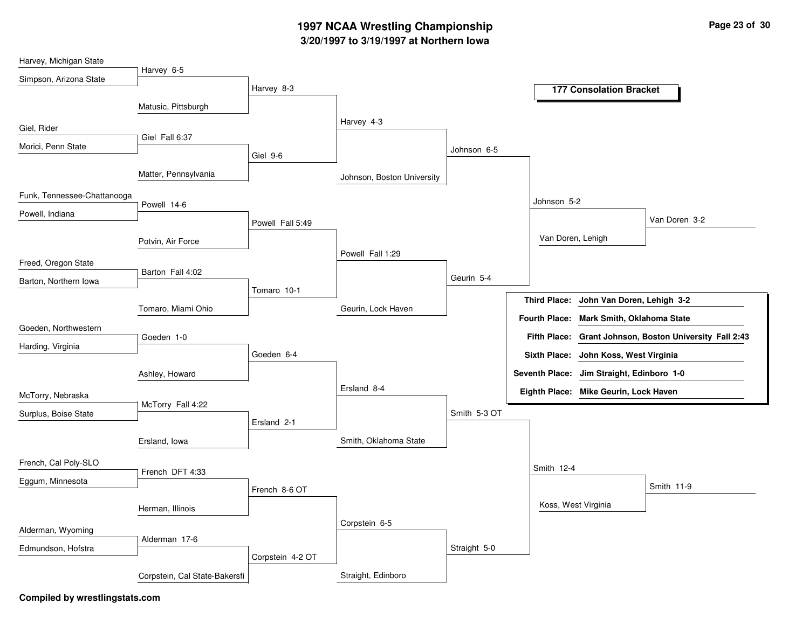## **3/20/1997 to 3/19/1997 at Northern Iowa 1997 NCAA Wrestling Championship Page <sup>23</sup> of <sup>30</sup>**

| Harvey 6-5<br>Simpson, Arizona State<br>Harvey 8-3<br><b>177 Consolation Bracket</b>          |  |
|-----------------------------------------------------------------------------------------------|--|
|                                                                                               |  |
|                                                                                               |  |
| Matusic, Pittsburgh                                                                           |  |
| Harvey 4-3<br>Giel, Rider                                                                     |  |
| Giel Fall 6:37                                                                                |  |
| Morici, Penn State<br>Johnson 6-5<br>Giel 9-6                                                 |  |
| Matter, Pennsylvania<br>Johnson, Boston University                                            |  |
| Funk, Tennessee-Chattanooga<br>Johnson 5-2                                                    |  |
| Powell 14-6<br>Powell, Indiana                                                                |  |
| Van Doren 3-2<br>Powell Fall 5:49                                                             |  |
| Van Doren, Lehigh<br>Potvin, Air Force                                                        |  |
| Powell Fall 1:29<br>Freed, Oregon State                                                       |  |
| Barton Fall 4:02<br>Geurin 5-4                                                                |  |
| Barton, Northern Iowa<br>Tomaro 10-1                                                          |  |
| Third Place: John Van Doren, Lehigh 3-2<br>Tomaro, Miami Ohio<br>Geurin, Lock Haven           |  |
| Fourth Place: Mark Smith, Oklahoma State                                                      |  |
| Goeden, Northwestern<br>Fifth Place: Grant Johnson, Boston University Fall 2:43<br>Goeden 1-0 |  |
| Harding, Virginia<br>Goeden 6-4<br>Sixth Place: John Koss, West Virginia                      |  |
|                                                                                               |  |
| Seventh Place: Jim Straight, Edinboro 1-0<br>Ashley, Howard                                   |  |
| Ersland 8-4<br>Eighth Place: Mike Geurin, Lock Haven<br>McTorry, Nebraska                     |  |
| McTorry Fall 4:22<br>Smith 5-3 OT<br>Surplus, Boise State                                     |  |
| Ersland 2-1                                                                                   |  |
| Smith, Oklahoma State<br>Ersland, Iowa                                                        |  |
| French, Cal Poly-SLO                                                                          |  |
| Smith 12-4<br>French DFT 4:33<br>Eggum, Minnesota                                             |  |
| Smith 11-9<br>French 8-6 OT                                                                   |  |
| Koss, West Virginia<br>Herman, Illinois                                                       |  |
| Corpstein 6-5                                                                                 |  |
| Alderman, Wyoming<br>Alderman 17-6                                                            |  |
| Straight 5-0<br>Edmundson, Hofstra<br>Corpstein 4-2 OT                                        |  |
| Straight, Edinboro<br>Corpstein, Cal State-Bakersfi                                           |  |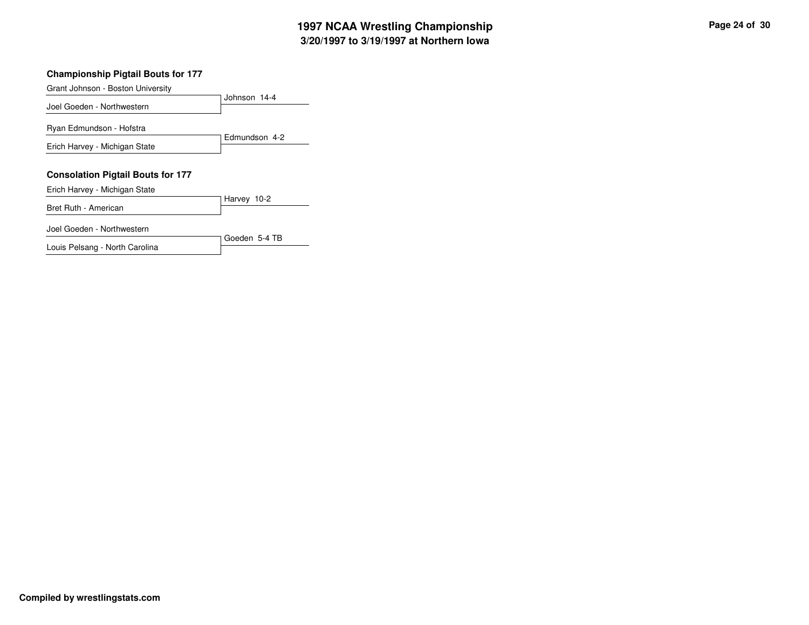## **3/20/1997 to 3/19/1997 at Northern Iowa 1997 NCAA Wrestling Championship Page <sup>24</sup> of <sup>30</sup>**

### **Championship Pigtail Bouts for 177**

| Grant Johnson - Boston University                                         |               |
|---------------------------------------------------------------------------|---------------|
| Joel Goeden - Northwestern                                                | Johnson 14-4  |
| Ryan Edmundson - Hofstra                                                  | Edmundson 4-2 |
| Erich Harvey - Michigan State                                             |               |
| <b>Consolation Pigtail Bouts for 177</b><br>Erich Harvey - Michigan State |               |
| Bret Ruth - American                                                      | Harvey 10-2   |
| Joel Goeden - Northwestern                                                | Goeden 5-4 TB |
| Louis Pelsang - North Carolina                                            |               |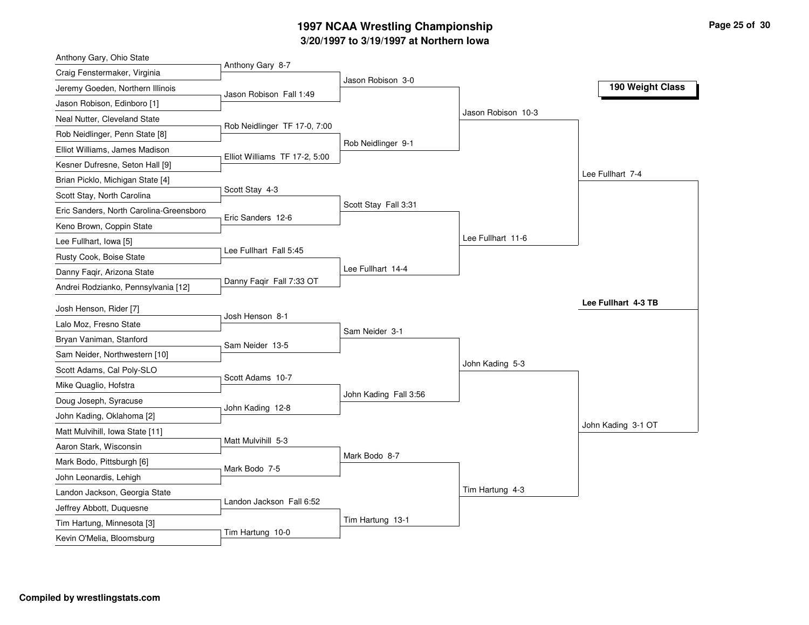## **3/20/1997 to 3/19/1997 at Northern Iowa 1997 NCAA Wrestling Championship Page <sup>25</sup> of <sup>30</sup>**

| Anthony Gary, Ohio State                                  |                               |                       |                    |                     |
|-----------------------------------------------------------|-------------------------------|-----------------------|--------------------|---------------------|
| Craig Fenstermaker, Virginia                              | Anthony Gary 8-7              | Jason Robison 3-0     |                    |                     |
| Jeremy Goeden, Northern Illinois                          | Jason Robison Fall 1:49       |                       |                    | 190 Weight Class    |
| Jason Robison, Edinboro [1]                               |                               |                       |                    |                     |
| Neal Nutter, Cleveland State                              | Rob Neidlinger TF 17-0, 7:00  |                       | Jason Robison 10-3 |                     |
| Rob Neidlinger, Penn State [8]                            |                               |                       |                    |                     |
| Elliot Williams, James Madison                            | Elliot Williams TF 17-2, 5:00 | Rob Neidlinger 9-1    |                    |                     |
| Kesner Dufresne, Seton Hall [9]                           |                               |                       |                    |                     |
| Brian Picklo, Michigan State [4]                          |                               |                       |                    | Lee Fullhart 7-4    |
| Scott Stay, North Carolina                                | Scott Stay 4-3                |                       |                    |                     |
| Eric Sanders, North Carolina-Greensboro                   | Eric Sanders 12-6             | Scott Stay Fall 3:31  |                    |                     |
| Keno Brown, Coppin State                                  |                               |                       |                    |                     |
| Lee Fullhart, Iowa [5]                                    |                               |                       | Lee Fullhart 11-6  |                     |
| Rusty Cook, Boise State                                   | Lee Fullhart Fall 5:45        |                       |                    |                     |
| Danny Faqir, Arizona State                                |                               | Lee Fullhart 14-4     |                    |                     |
| Andrei Rodzianko, Pennsylvania [12]                       | Danny Faqir Fall 7:33 OT      |                       |                    |                     |
| Josh Henson, Rider [7]                                    |                               |                       |                    | Lee Fullhart 4-3 TB |
| Lalo Moz, Fresno State                                    | Josh Henson 8-1               |                       |                    |                     |
| Bryan Vaniman, Stanford                                   |                               | Sam Neider 3-1        |                    |                     |
| Sam Neider, Northwestern [10]                             | Sam Neider 13-5               |                       |                    |                     |
| Scott Adams, Cal Poly-SLO                                 |                               |                       | John Kading 5-3    |                     |
| Mike Quaglio, Hofstra                                     | Scott Adams 10-7              |                       |                    |                     |
| Doug Joseph, Syracuse                                     |                               | John Kading Fall 3:56 |                    |                     |
| John Kading, Oklahoma [2]                                 | John Kading 12-8              |                       |                    |                     |
| Matt Mulvihill, Iowa State [11]                           |                               |                       |                    | John Kading 3-1 OT  |
| Aaron Stark, Wisconsin                                    | Matt Mulvihill 5-3            |                       |                    |                     |
| Mark Bodo, Pittsburgh [6]                                 |                               | Mark Bodo 8-7         |                    |                     |
| John Leonardis, Lehigh                                    | Mark Bodo 7-5                 |                       |                    |                     |
|                                                           |                               |                       |                    |                     |
|                                                           |                               |                       | Tim Hartung 4-3    |                     |
| Landon Jackson, Georgia State<br>Jeffrey Abbott, Duquesne | Landon Jackson Fall 6:52      |                       |                    |                     |
| Tim Hartung, Minnesota [3]                                |                               | Tim Hartung 13-1      |                    |                     |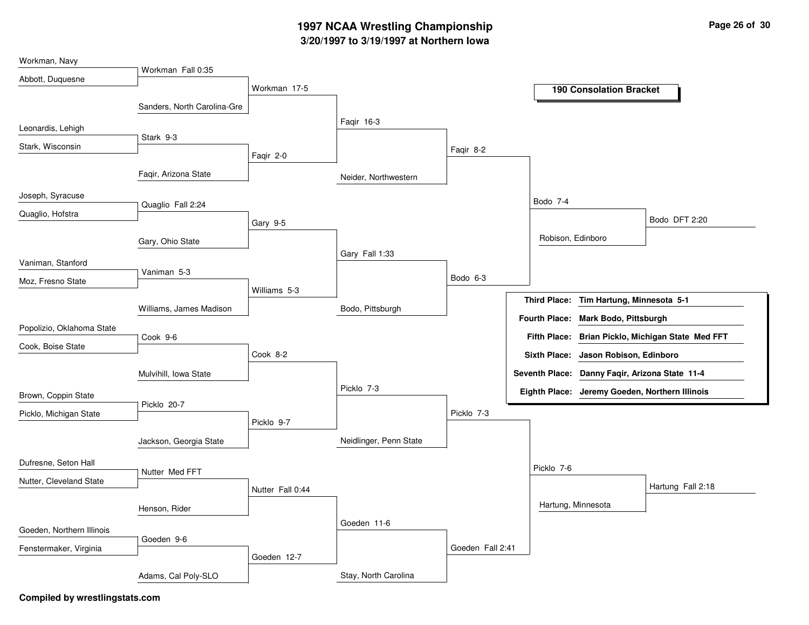## **3/20/1997 to 3/19/1997 at Northern Iowa 1997 NCAA Wrestling Championship Page <sup>26</sup> of <sup>30</sup>**

| Workman, Navy             |                             |                  |                        |                  |                      |            |                                                |                                      |
|---------------------------|-----------------------------|------------------|------------------------|------------------|----------------------|------------|------------------------------------------------|--------------------------------------|
| Abbott, Duquesne          | Workman Fall 0:35           |                  |                        |                  |                      |            |                                                |                                      |
|                           |                             | Workman 17-5     |                        |                  |                      |            | <b>190 Consolation Bracket</b>                 |                                      |
|                           | Sanders, North Carolina-Gre |                  |                        |                  |                      |            |                                                |                                      |
| Leonardis, Lehigh         |                             |                  | Faqir 16-3             |                  |                      |            |                                                |                                      |
| Stark, Wisconsin          | Stark 9-3                   |                  |                        |                  |                      |            |                                                |                                      |
|                           |                             | Faqir 2-0        |                        | Faqir 8-2        |                      |            |                                                |                                      |
|                           | Faqir, Arizona State        |                  | Neider, Northwestern   |                  |                      |            |                                                |                                      |
| Joseph, Syracuse          | Quaglio Fall 2:24           |                  |                        |                  | Bodo 7-4             |            |                                                |                                      |
| Quaglio, Hofstra          |                             |                  |                        |                  |                      |            |                                                | Bodo DFT 2:20                        |
|                           |                             | Gary 9-5         |                        |                  |                      |            |                                                |                                      |
|                           | Gary, Ohio State            |                  | Gary Fall 1:33         |                  |                      |            | Robison, Edinboro                              |                                      |
| Vaniman, Stanford         |                             |                  |                        |                  |                      |            |                                                |                                      |
| Moz, Fresno State         | Vaniman 5-3                 |                  |                        | Bodo 6-3         |                      |            |                                                |                                      |
|                           |                             | Williams 5-3     |                        |                  | <b>Third Place:</b>  |            | Tim Hartung, Minnesota 5-1                     |                                      |
|                           | Williams, James Madison     |                  | Bodo, Pittsburgh       |                  | <b>Fourth Place:</b> |            | <b>Mark Bodo, Pittsburgh</b>                   |                                      |
| Popolizio, Oklahoma State |                             |                  |                        |                  |                      |            |                                                |                                      |
| Cook, Boise State         | Cook 9-6                    |                  |                        |                  | <b>Fifth Place:</b>  |            |                                                | Brian Picklo, Michigan State Med FFT |
|                           |                             | Cook 8-2         |                        |                  | <b>Sixth Place:</b>  |            | Jason Robison, Edinboro                        |                                      |
|                           | Mulvihill, Iowa State       |                  |                        |                  |                      |            | Seventh Place: Danny Faqir, Arizona State 11-4 |                                      |
| Brown, Coppin State       |                             |                  | Picklo 7-3             |                  |                      |            | Eighth Place: Jeremy Goeden, Northern Illinois |                                      |
| Picklo, Michigan State    | Picklo 20-7                 |                  |                        | Picklo 7-3       |                      |            |                                                |                                      |
|                           |                             | Picklo 9-7       |                        |                  |                      |            |                                                |                                      |
|                           | Jackson, Georgia State      |                  | Neidlinger, Penn State |                  |                      |            |                                                |                                      |
| Dufresne, Seton Hall      |                             |                  |                        |                  |                      | Picklo 7-6 |                                                |                                      |
| Nutter, Cleveland State   | Nutter Med FFT              |                  |                        |                  |                      |            |                                                |                                      |
|                           |                             | Nutter Fall 0:44 |                        |                  |                      |            |                                                | Hartung Fall 2:18                    |
|                           | Henson, Rider               |                  |                        |                  |                      |            | Hartung, Minnesota                             |                                      |
| Goeden, Northern Illinois |                             |                  | Goeden 11-6            |                  |                      |            |                                                |                                      |
| Fenstermaker, Virginia    | Goeden 9-6                  |                  |                        | Goeden Fall 2:41 |                      |            |                                                |                                      |
|                           |                             | Goeden 12-7      |                        |                  |                      |            |                                                |                                      |
|                           | Adams, Cal Poly-SLO         |                  | Stay, North Carolina   |                  |                      |            |                                                |                                      |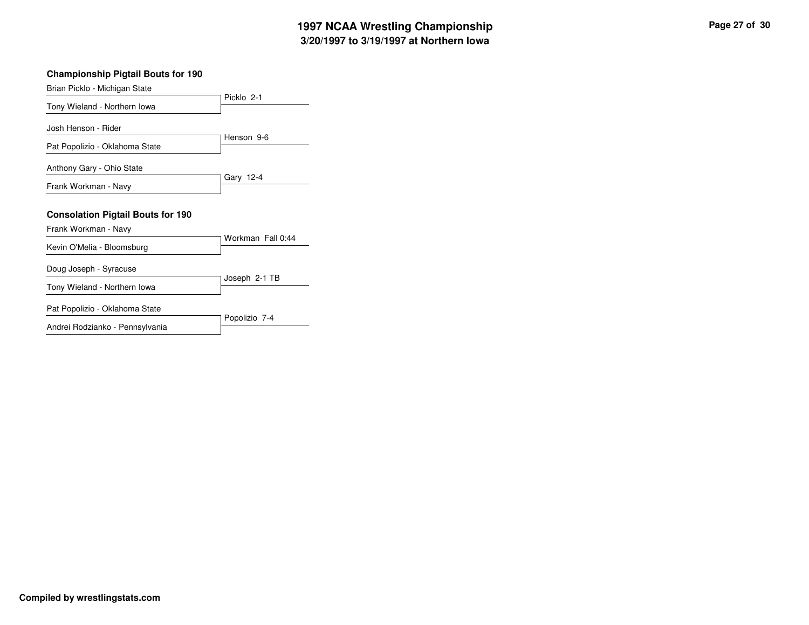### **Championship Pigtail Bouts for 190** Picklo 2-1 Brian Picklo - Michigan State Tony Wieland - Northern Iowa Henson 9-6 Josh Henson - Rider

Pat Popolizio - Oklahoma State

Anthony Gary - Ohio State

Frank Workman - Navy

#### **Consolation Pigtail Bouts for 190**

Frank Workman - Navy

|                                | Workman Fall 0:44 |
|--------------------------------|-------------------|
| Kevin O'Melia - Bloomsburg     |                   |
| Doug Joseph - Syracuse         |                   |
| Tony Wieland - Northern Iowa   | Joseph 2-1 TB     |
| Pat Popolizio - Oklahoma State | Popolizio 7-4     |

Gary 12-4

Andrei Rodzianko - Pennsylvania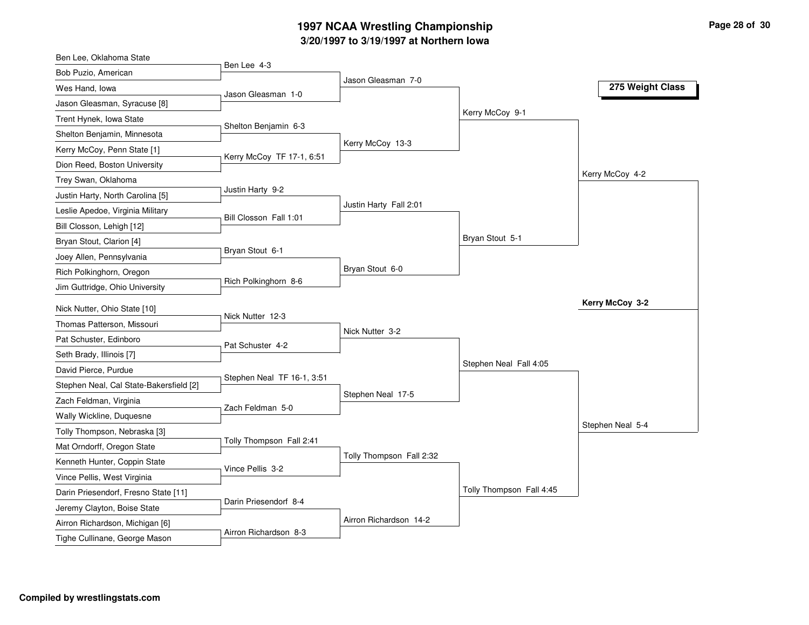## **3/20/1997 to 3/19/1997 at Northern Iowa 1997 NCAA Wrestling Championship Page <sup>28</sup> of <sup>30</sup>**

| Ben Lee, Oklahoma State                 |                            |                          |                          |                  |
|-----------------------------------------|----------------------------|--------------------------|--------------------------|------------------|
| Bob Puzio, American                     | Ben Lee 4-3                |                          |                          |                  |
| Wes Hand, Iowa                          | Jason Gleasman 1-0         | Jason Gleasman 7-0       |                          | 275 Weight Class |
| Jason Gleasman, Syracuse [8]            |                            |                          |                          |                  |
| Trent Hynek, Iowa State                 |                            |                          | Kerry McCoy 9-1          |                  |
| Shelton Benjamin, Minnesota             | Shelton Benjamin 6-3       |                          |                          |                  |
| Kerry McCoy, Penn State [1]             |                            | Kerry McCoy 13-3         |                          |                  |
| Dion Reed, Boston University            | Kerry McCoy TF 17-1, 6:51  |                          |                          |                  |
| Trey Swan, Oklahoma                     |                            |                          |                          | Kerry McCoy 4-2  |
| Justin Harty, North Carolina [5]        | Justin Harty 9-2           |                          |                          |                  |
| Leslie Apedoe, Virginia Military        |                            | Justin Harty Fall 2:01   |                          |                  |
| Bill Closson, Lehigh [12]               | Bill Closson Fall 1:01     |                          |                          |                  |
| Bryan Stout, Clarion [4]                |                            |                          | Bryan Stout 5-1          |                  |
| Joey Allen, Pennsylvania                | Bryan Stout 6-1            |                          |                          |                  |
| Rich Polkinghorn, Oregon                |                            | Bryan Stout 6-0          |                          |                  |
| Jim Guttridge, Ohio University          | Rich Polkinghorn 8-6       |                          |                          |                  |
| Nick Nutter, Ohio State [10]            |                            |                          |                          | Kerry McCoy 3-2  |
| Thomas Patterson, Missouri              | Nick Nutter 12-3           |                          |                          |                  |
| Pat Schuster, Edinboro                  |                            | Nick Nutter 3-2          |                          |                  |
| Seth Brady, Illinois [7]                | Pat Schuster 4-2           |                          |                          |                  |
| David Pierce, Purdue                    |                            |                          | Stephen Neal Fall 4:05   |                  |
| Stephen Neal, Cal State-Bakersfield [2] | Stephen Neal TF 16-1, 3:51 |                          |                          |                  |
| Zach Feldman, Virginia                  |                            | Stephen Neal 17-5        |                          |                  |
| Wally Wickline, Duquesne                | Zach Feldman 5-0           |                          |                          |                  |
| Tolly Thompson, Nebraska [3]            |                            |                          |                          | Stephen Neal 5-4 |
| Mat Orndorff, Oregon State              | Tolly Thompson Fall 2:41   |                          |                          |                  |
| Kenneth Hunter, Coppin State            |                            | Tolly Thompson Fall 2:32 |                          |                  |
| Vince Pellis, West Virginia             | Vince Pellis 3-2           |                          |                          |                  |
| Darin Priesendorf, Fresno State [11]    |                            |                          | Tolly Thompson Fall 4:45 |                  |
| Jeremy Clayton, Boise State             | Darin Priesendorf 8-4      |                          |                          |                  |
|                                         |                            |                          |                          |                  |
| Airron Richardson, Michigan [6]         |                            | Airron Richardson 14-2   |                          |                  |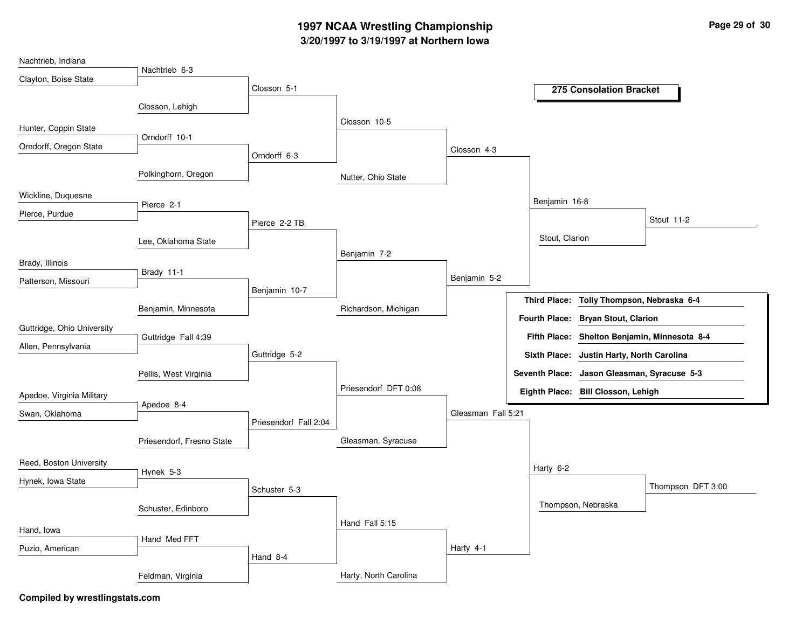## **3/20/1997 to 3/19/1997 at Northern Iowa 1997 NCAA Wrestling Championship Page <sup>29</sup> of <sup>30</sup>**

| Nachtrieb, Indiana         |                           |                       |                       |                    |                     |                                              |                   |
|----------------------------|---------------------------|-----------------------|-----------------------|--------------------|---------------------|----------------------------------------------|-------------------|
| Clayton, Boise State       | Nachtrieb 6-3             |                       |                       |                    |                     |                                              |                   |
|                            |                           | Closson 5-1           |                       |                    |                     | 275 Consolation Bracket                      |                   |
|                            | Closson, Lehigh           |                       |                       |                    |                     |                                              |                   |
| Hunter, Coppin State       |                           |                       | Closson 10-5          |                    |                     |                                              |                   |
| Orndorff, Oregon State     | Orndorff 10-1             |                       |                       |                    |                     |                                              |                   |
|                            |                           | Orndorff 6-3          |                       | Closson 4-3        |                     |                                              |                   |
|                            | Polkinghorn, Oregon       |                       | Nutter, Ohio State    |                    |                     |                                              |                   |
| Wickline, Duquesne         |                           |                       |                       |                    |                     |                                              |                   |
| Pierce, Purdue             | Pierce 2-1                |                       |                       |                    | Benjamin 16-8       |                                              |                   |
|                            |                           | Pierce 2-2 TB         |                       |                    |                     |                                              | Stout 11-2        |
|                            | Lee, Oklahoma State       |                       |                       |                    | Stout, Clarion      |                                              |                   |
| Brady, Illinois            |                           |                       | Benjamin 7-2          |                    |                     |                                              |                   |
|                            | Brady 11-1                |                       |                       | Benjamin 5-2       |                     |                                              |                   |
| Patterson, Missouri        |                           | Benjamin 10-7         |                       |                    |                     |                                              |                   |
|                            | Benjamin, Minnesota       |                       | Richardson, Michigan  |                    | <b>Third Place:</b> | Tolly Thompson, Nebraska 6-4                 |                   |
|                            |                           |                       |                       |                    |                     | Fourth Place: Bryan Stout, Clarion           |                   |
| Guttridge, Ohio University | Guttridge Fall 4:39       |                       |                       |                    |                     | Fifth Place: Shelton Benjamin, Minnesota 8-4 |                   |
| Allen, Pennsylvania        |                           | Guttridge 5-2         |                       |                    |                     | Sixth Place: Justin Harty, North Carolina    |                   |
|                            | Pellis, West Virginia     |                       |                       |                    |                     | Seventh Place: Jason Gleasman, Syracuse 5-3  |                   |
|                            |                           |                       | Priesendorf DFT 0:08  |                    |                     | Eighth Place: Bill Closson, Lehigh           |                   |
| Apedoe, Virginia Military  | Apedoe 8-4                |                       |                       |                    |                     |                                              |                   |
| Swan, Oklahoma             |                           | Priesendorf Fall 2:04 |                       | Gleasman Fall 5:21 |                     |                                              |                   |
|                            |                           |                       | Gleasman, Syracuse    |                    |                     |                                              |                   |
|                            | Priesendorf, Fresno State |                       |                       |                    |                     |                                              |                   |
| Reed, Boston University    | Hynek 5-3                 |                       |                       |                    | Harty 6-2           |                                              |                   |
| Hynek, Iowa State          |                           |                       |                       |                    |                     |                                              | Thompson DFT 3:00 |
|                            |                           | Schuster 5-3          |                       |                    |                     |                                              |                   |
|                            | Schuster, Edinboro        |                       |                       |                    |                     | Thompson, Nebraska                           |                   |
| Hand, Iowa                 |                           |                       | Hand Fall 5:15        |                    |                     |                                              |                   |
| Puzio, American            | Hand Med FFT              |                       |                       | Harty 4-1          |                     |                                              |                   |
|                            |                           | Hand 8-4              |                       |                    |                     |                                              |                   |
|                            | Feldman, Virginia         |                       | Harty, North Carolina |                    |                     |                                              |                   |